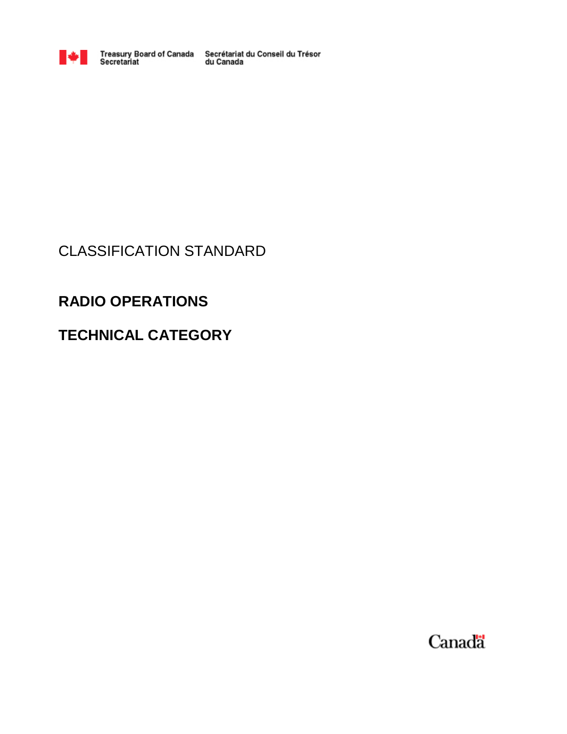

Treasury Board of Canada Secrétariat du Conseil du Trésor<br>Secretariat du Canada

## CLASSIFICATION STANDARD

# **RADIO OPERATIONS**

# **TECHNICAL CATEGORY**

Canada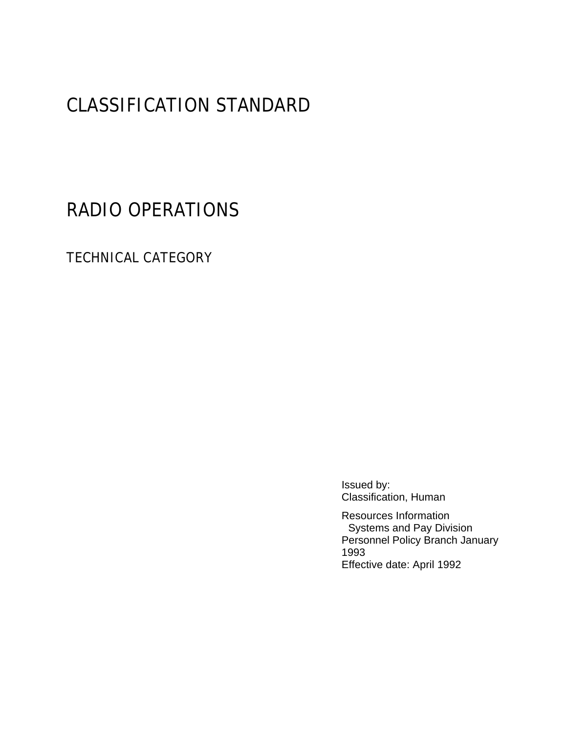# CLASSIFICATION STANDARD

RADIO OPERATIONS

TECHNICAL CATEGORY

Issued by: Classification, Human

Resources Information Systems and Pay Division Personnel Policy Branch January 1993 Effective date: April 1992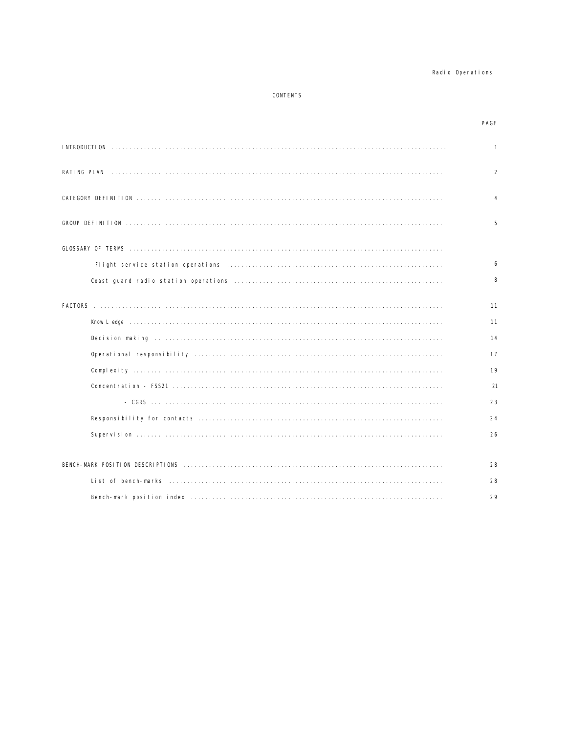#### Radio Operations

#### CONTENTS

#### PAGE

| $\mathbf{1}$   |
|----------------|
| $\overline{2}$ |
| 4              |
| 5              |
|                |
| 6              |
| 8              |
| 11             |
| 11             |
| 14             |
| 17             |
| 19             |
| 21             |
| 23             |
| 24             |
| 26             |
| 28             |
| 28             |
| 29             |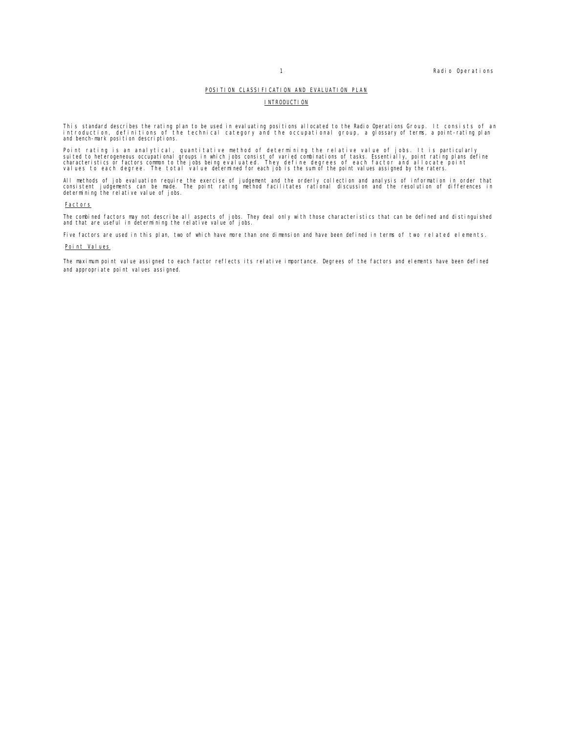#### POSITION CLASSIFICATION AND EVALUATION PLAN

#### **INTRODUCTION**

This standard describes the rating plan to be used in evaluating positions allocated to the Radio Operations Group. It consists of an<br>introduction, definitions of the technical category and the occupational group, a glossa

Point rating is an analytical, quantitative method of determining the relative value of jobs. It is particularly<br>suited to heterogeneous occupational groups in which jobs consist of varied combinations of tasks. Essentiall

All methods of job evaluation require the exercise of judgement and the orderly collection and analysis of information in order that<br>consistent judgements can be made. The point rating method facilitates rational discussio

#### **Factors**

The combined factors may not describe all aspects of jobs. They deal only with those characteristics that can be defined and distinguished<br>and that are useful in determining the relative value of jobs.

Five factors are used in this plan, two of which have more than one dimension and have been defined in terms of two related elements.

#### Point Values

The maximum point value assigned to each factor reflects its relative importance. Degrees of the factors and elements have been defined and appropriate point values assigned.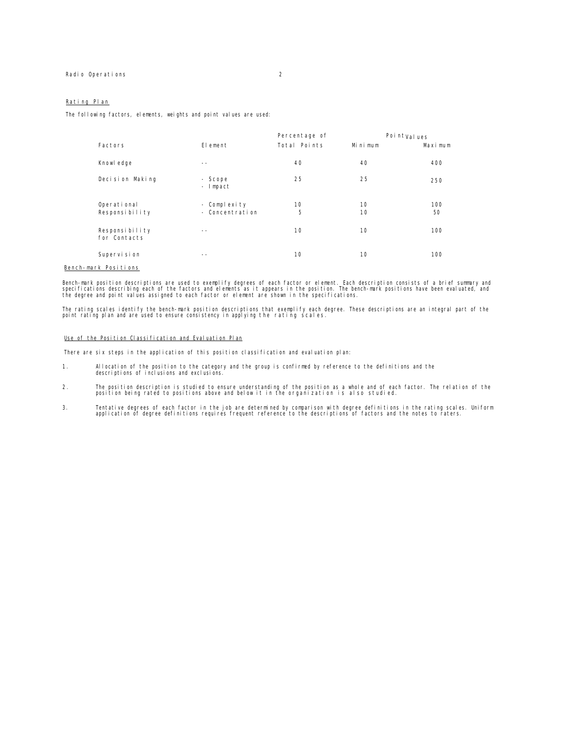The following factors, elements, weights and point values are used:

|                                |                     | Percentage of |         | Point <sub>Values</sub> |
|--------------------------------|---------------------|---------------|---------|-------------------------|
| Factors                        | Element             | Total Points  | Minimum | Maximum                 |
| Knowl edge                     | $- -$               | 40            | 40      | 400                     |
| Decision Making                | - Scope<br>- Impact | 25            | 25      | 250                     |
| Operational                    | - Complexity        | 10            | 10      | 100                     |
| Responsibility                 | - Concentration     | 5             | 10      | 50                      |
| Responsibility<br>for Contacts | --                  | 10            | 10      | 100                     |
| Supervi si on                  | --                  | 10            | 10      | 100                     |

#### Bench-mark Positions

Bench-mark position descriptions are used to exemplify degrees of each factor or element. Each description consists of a brief summary and<br>specifications describing each of the factors and elements as it appears in the pos

The rating scales identify the bench-mark position descriptions that exemplify each degree. These descriptions are an integral part of the<br>point rating plan and are used to ensure consistency in applying the rating scales.

#### Use of the Position Classification and Evaluation Plan

There are six steps in the application of this position classification and evaluation plan:

- 1. Allocation of the position to the category and the group is confirmed by reference to the definitions and the descriptions of inclusions and exclusions.
- 2. The position description is studied to ensure understanding of the position as a whole and of each factor. The relation of the position being rated to positions above and below it in the organization is also studied.
- 3. Tentative degrees of each factor in the job are determined by comparison with degree definitions in the rating scales. Uniform<br>application of degree definitions requires frequent reference to the descriptions of factors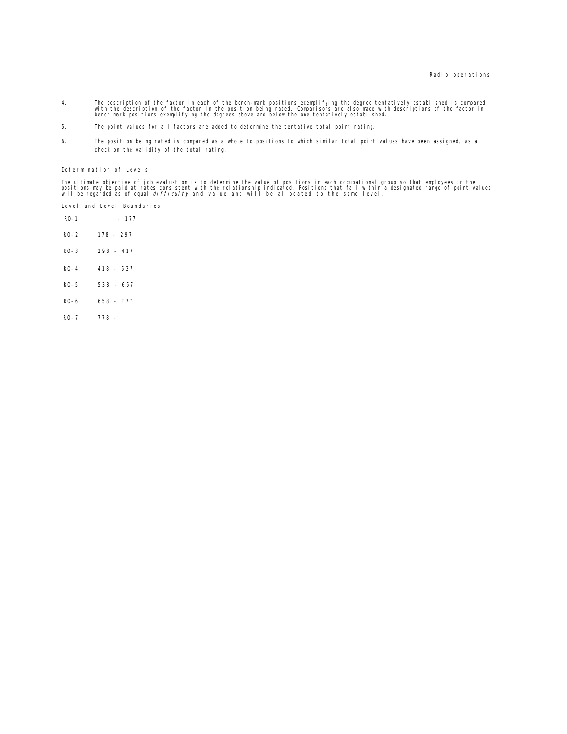- 4. The description of the factor in each of the bench-mark positions exemplifying the degree tentatively established is compared<br>with the descriptions of the factor in the position being rated. Comparisons are also made wi
- 5. The point values for all factors are added to determine the tentative total point rating.
- 6. The position being rated is compared as a whole to positions to which similar total point values have been assigned, as a check on the validity of the total rating.

### Determination of Levels

The ultimate objective of job evaluation is to determine the value of positions in each occupational group so that employees in the<br>positions may be paid at rates consistent with the relationship indicated. Positions that

|        | Level and Level Boundaries |
|--------|----------------------------|
| $RO-1$ | $-177$                     |
| $RO-2$ | 178 - 297                  |
| $RO-3$ | $298 - 417$                |
| $RO-4$ | $418 - 537$                |
| RO-5   | 538 - 657                  |
| R0-6   | $658 - 777$                |
| $RO-7$ | 778 -                      |
|        |                            |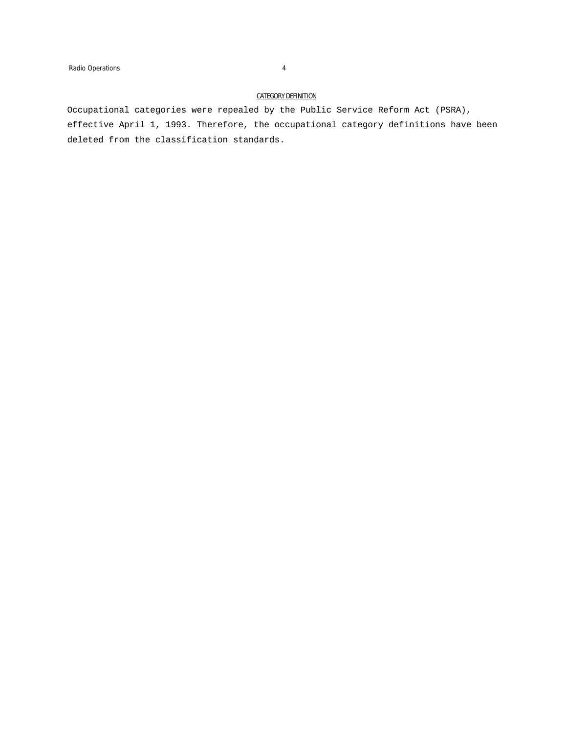#### CATEGORY DEFINITION

Occupational categories were repealed by the Public Service Reform Act (PSRA), effective April 1, 1993. Therefore, the occupational category definitions have been deleted from the classification standards.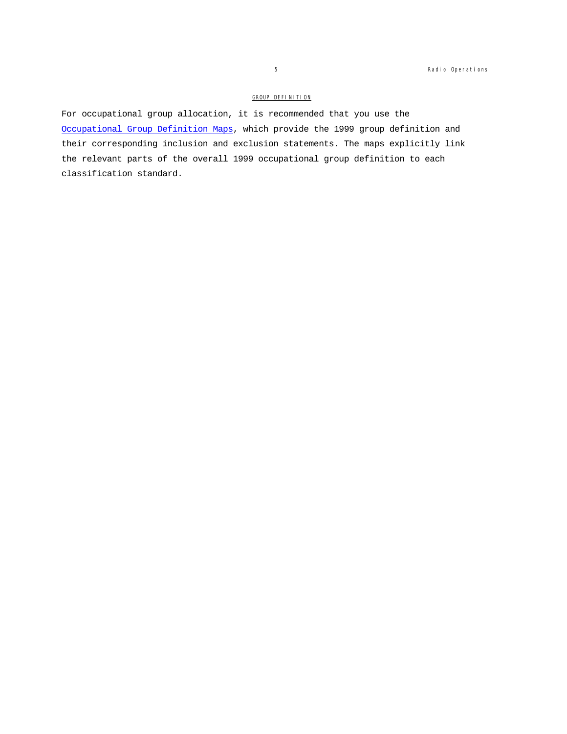### GROUP DEFINITION

For occupational group allocation, it is recommended that you use the Occupational Group Definition Maps, which provide the 1999 group definition and their corresponding inclusion and exclusion statements. The maps explicitly link the relevant parts of the overall 1999 occupational group definition to each classification standard.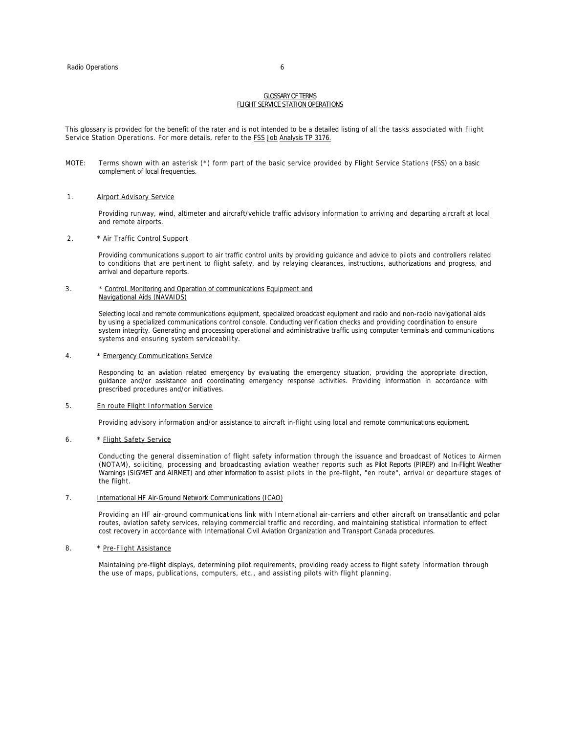#### GLOSSARY OF TERMS FLIGHT SERVICE STATION OPERATIONS

This glossary is provided for the benefit of the rater and is not intended to be a detailed listing of all the tasks associated with Flight Service Station Operations. For more details, refer to the FSS Job Analysis TP 3176.

MOTE: Terms shown with an asterisk (\*) form part of the basic service provided by Flight Service Stations (FSS) on a basic complement of local frequencies.

#### 1. **Airport Advisory Service**

Providing runway, wind, altimeter and aircraft/vehicle traffic advisory information to arriving and departing aircraft at local and remote airports.

#### 2. \* Air Traffic Control Support

Providing communications support to air traffic control units by providing guidance and advice to pilots and controllers related to conditions that are pertinent to flight safety, and by relaying clearances, instructions, authorizations and progress, and arrival and departure reports.

#### 3. \* Control. Monitoring and Operation of communications Equipment and Navigational Aids (NAVAIDS)

Selecting local and remote communications equipment, specialized broadcast equipment and radio and non-radio navigational aids by using a specialized communications control console. Conducting verification checks and providing coordination to ensure system integrity. Generating and processing operational and administrative traffic using computer terminals and communications systems and ensuring system serviceability.

#### 4. \* Emergency Communications Service

Responding to an aviation related emergency by evaluating the emergency situation, providing the appropriate direction, guidance and/or assistance and coordinating emergency response activities. Providing information in accordance with prescribed procedures and/or initiatives.

#### 5. En route Flight Information Service

Providing advisory information and/or assistance to aircraft in-flight using local and remote communications equipment.

#### 6. \* Flight Safety Service

Conducting the general dissemination of flight safety information through the issuance and broadcast of Notices to Airmen (NOTAM), soliciting, processing and broadcasting aviation weather reports such as Pilot Reports (PIREP) and In-Flight Weather Warnings (SIGMET and AIRMET) and other information to assist pilots in the pre-flight, "en route", arrival or departure stages of the flight.

#### 7. International HF Air-Ground Network Communications (ICAO)

Providing an HF air-ground communications link with International air-carriers and other aircraft on transatlantic and polar routes, aviation safety services, relaying commercial traffic and recording, and maintaining statistical information to effect cost recovery in accordance with International Civil Aviation Organization and Transport Canada procedures.

#### 8. \* Pre-Flight Assistance

Maintaining pre-flight displays, determining pilot requirements, providing ready access to flight safety information through the use of maps, publications, computers, etc., and assisting pilots with flight planning.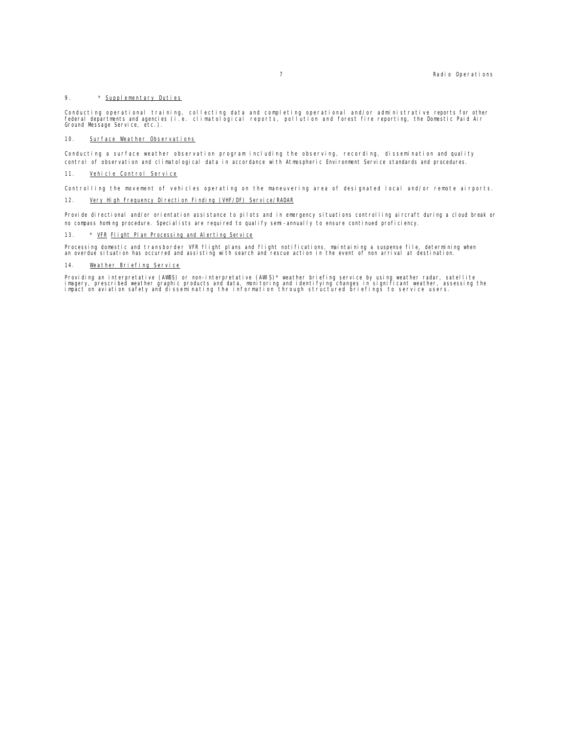#### 9. \* Supplementary Duties

Conducting operational training, collecting data and completing operational and/or administrative reports for other<br>federal departments and agencies (i.e. climatological reports, pollution and forest fire reporting, the Do

#### 10. Surface Weather Observations

Conducting a surface weather observation program including the observing, recording, dissemination and quality control of observation and climatological data in accordance with Atmospheric Environment Service standards and procedures.

#### 11. Vehicle Control Service

Controlling the movement of vehicles operating on the maneuvering area of designated local and/or remote airports.

#### 12. Very High Frequency Direction Finding (VHF/DF) Service/RADAR

Provide directional and/or orientation assistance to pilots and in emergency situations controlling aircraft during a cloud break or no compass homing procedure. Specialists are required to qualify semi-annually to ensure continued proficiency.

#### 13. \* <u>VFR Flight Plan Processing and Alerting Service</u>

Processing domestic and transborder VFR flight plans and flight notifications, maintaining a suspense file, determining when<br>an overdue situation has occurred and assisting with search and rescue action in the event of non

#### 14. Weather Briefing Service

Providing an interpretative (AWBS) or non-interpretative (AWIS)\* weather briefing service by using weather radar, satellite<br>imagery, prescribed weather graphic products and data, monitoring and identifying changes in signi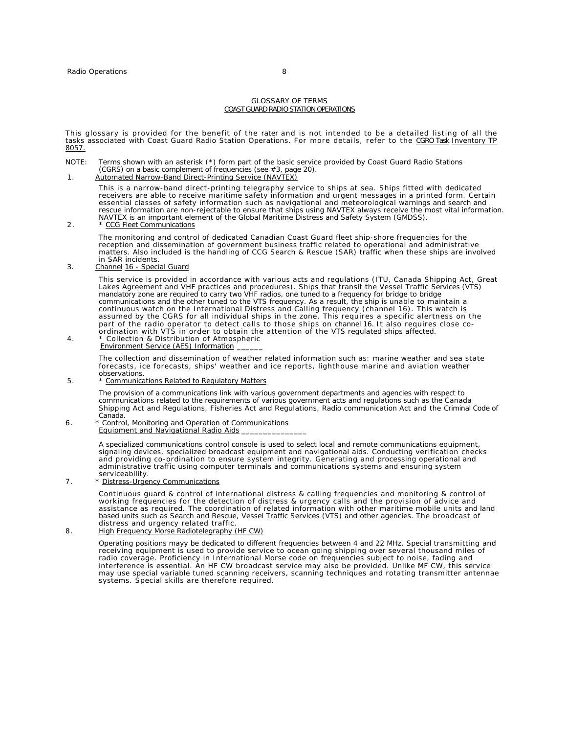#### GLOSSARY OF TERMS COAST GUARD RADIO STATION OPERATIONS

This glossary is provided for the benefit of the rater and is not intended to be a detailed listing of all the<br>tasks associated with Coast Guard Radio Station Operations. For more details, refer to the <u>CGRO Task Inventory</u> 8057.

- NOTE: Terms shown with an asterisk (\*) form part of the basic service provided by Coast Guard Radio Stations (CGRS) on a basic complement of frequencies (see #3, page 20).<br>1. Automated Narrow-Band Direct-Printing Service (
	-

This is a narrow-band direct-printing telegraphy service to ships at sea. Ships fitted with dedicated receivers are able to receive maritime safety information and urgent messages in a printed form. Certain essential classes of safety information such as navigational and meteorological warnings and search and rescue information are non-rejectable to ensure that ships using NAVTEX always receive the most vital information. NAVTEX is an important element of the Global Maritime Distress and Safety System (GMDSS).

#### 2. \* CCG Fleet Communications

The monitoring and control of dedicated Canadian Coast Guard fleet ship-shore frequencies for the reception and dissemination of government business traffic related to operational and administrative matters. Also included is the handling of CCG Search & Rescue (SAR) traffic when these ships are involved in SAR incidents.

#### 3. Channel 16 - Special Guard

This service is provided in accordance with various acts and regulations (ITU, Canada Shipping Act, Great Lakes Agreement and VHF practices and procedures). Ships that transit the Vessel Traffic Services (VTS) mandatory zone are required to carry two VHF radios, one tuned to a frequency for bridge to bridge communications and the other tuned to the VTS frequency. As a result, the ship is unable to maintain a continuous watch on the International Distress and Calling frequency (channel 16). This watch is assumed by the CGRS for all individual ships in the zone. This requires a specific alertness on the part of the radio operator to detect calls to those ships on channel 16. It also requires close coordination with VTS in order to obtain the attention of the VTS regulated ships affected. 4. \* Collection & Distribution of Atmospheric

Environment Service (AES) Information

The collection and dissemination of weather related information such as: marine weather and sea state forecasts, ice forecasts, ships' weather and ice reports, lighthouse marine and aviation weather observations.

5. \* Communications Related to Regulatory Matters

The provision of a communications link with various government departments and agencies with respect to communications related to the requirements of various government acts and regulations such as the Canada Shipping Act and Regulations, Fisheries Act and Regulations, Radio communication Act and the Criminal Code of Canada.

6 . \* Control, Monitoring and Operation of Communications Equipment and Navigational Radio Aids

> A specialized communications control console is used to select local and remote communications equipment, signaling devices, specialized broadcast equipment and navigational aids. Conducting verification checks and providing co-ordination to ensure system integrity. Generating and processing operational and administrative traffic using computer terminals and communications systems and ensuring system

serviceability. 7. \* Distress-Urgency Communications

> Continuous guard & control of international distress & calling frequencies and monitoring & control of working frequencies for the detection of distress & urgency calls and the provision of advice and assistance as required. The coordination of related information with other maritime mobile units and land based units such as Search and Rescue, Vessel Traffic Services (VTS) and other agencies. The broadcast of distress and urgency related traffic.

#### 8. High Frequency Morse Radiotelegraphy (HF CW)

Operating positions mayy be dedicated to different frequencies between 4 and 22 MHz. Special transmitting and receiving equipment is used to provide service to ocean going shipping over several thousand miles of radio coverage. Proficiency in International Morse code on frequencies subject to noise, fading and interference is essential. An HF CW broadcast service may also be provided. Unlike MF CW, this service may use special variable tuned scanning receivers, scanning techniques and rotating transmitter antennae systems. Special skills are therefore required.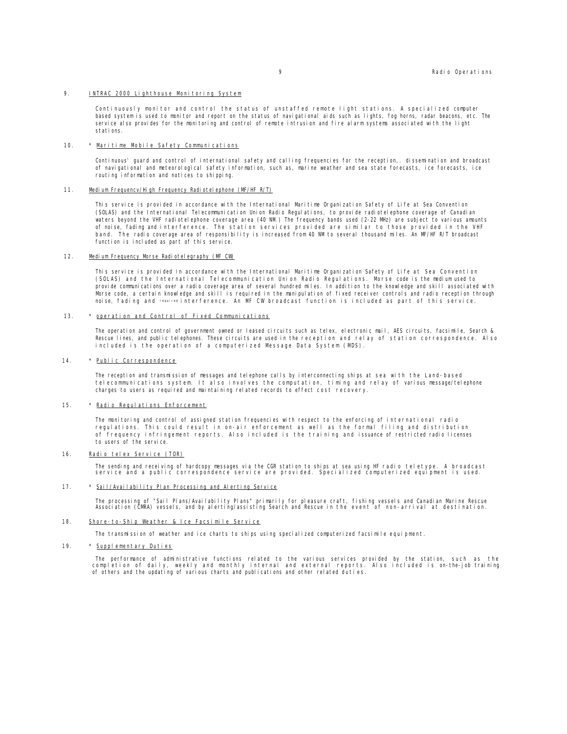#### 9. INTRAC 2000 Lighthouse Monitoring System

Continuously monitor and control the status of unstaffed remote light stations. A specialized computer based system is used to monitor and report on the status of navigational aids such as lights, fog horns, radar beacons, etc. The service also provides for the monitoring and control of remote intrusion and fire alarm systems associated with the light stations.

#### 10. \* Maritime Mobile Safety Communications

Continuous' guard and control of international safety and calling frequencies for the reception,. dissemination and broadcast of navigational and meteorological safety information, such as, marine weather and sea state forecasts, ice forecasts, ice routing information and notices to shipping.

#### 11. Medium Frequencv/High Frequency Radiotelephone (MF/HF R/T)

This service is provided in accordance with the International Maritime Organization Safety of Life at Sea Convention (SOLAS) and the International Telecommunication Union Radio Regulations, to provide radiotelephone coverage of Canadian waters beyond the VHF radiotelephone coverage area (40 NM.) The frequency bands used (2-22 MHz) are subject to various amounts of noise, fading and interference. The station services provided are similar to those provided in the VHF band. The radio coverage area of responsibility is increased from 40 NM to several thousand miles. An MF/HF R/T broadcast function is included as part of this service.

#### 12. Medium Frequency Morse Radiotelegraphy (MF CW)

This service is provided in accordance with the International Maritime Organization Safety of Life at Sea Convention (SOLAS) and the International Telecommunication Union Radio Regulations. Morse code is the medium used to provide communications over a radio coverage area of several hundred miles. In addition to the knowledge and skill associated with Morse code, a certain knowledge and skill is required in the manipulation of fixed receiver controls and radio reception through noise, fading and required interference. An MF CW broadcast function is included as part of this service.

#### 13. \* operation and Control of Fixed Communications

The operation and control of government owned or leased circuits such as telex, electronic mail, AES circuits, facsimile, Search & Rescue lines, and public telephones. These circuits are used in the reception and relay of station correspondence. Also included is the operation of a computerized Message Data System (MDS).

#### 14. \* Public Correspondence

The reception and transmission of messages and telephone calls by interconnecting ships at sea with the Land-based telecommunications system. It also involves the computation, timing and relay of various message/telephone charges to users as required and maintaining related records to effect cost recovery.

#### 15. \* Radio Regulations Enforcement

The monitoring and control of assigned station frequencies with respect to the enforcing of international radio regulations. This could result in on-air enforcement as well as the formal filing and distribution of frequency infringement reports. Also included is the training and issuance of restricted radio licenses to users of the service.

#### 16. Radio telex Service (TOR)

The sending and receiving of hardcopy messages via the CGR station to ships at sea using HF radio teletype. A broadcast service and a public correspondence service are provided. Specialized computerized equipment is used.

#### 17. \* Sail/Availability Plan Processing and Alerting Service

The processing of "Sail Plans/Availability Plans" primarily for pleasure craft, fishing vessels and Canadian Marine Rescue<br>Association (CMRA) vessels, and by alerting/assisting Search and Rescue in the event of non-arrival

#### 18. Shore-to-Ship Weather & Ice Facsimile Service

The transmission of weather and ice charts to ships using specialized computerized facsimile equipment.

#### 19. \* Supplementary Duties

The performance of administrative functions related to the various services provided by the station, such as the completion of daily, weekly and monthly internal and external reports. Also included is on-the-job training of others and the updating of various charts and publications and other related duties.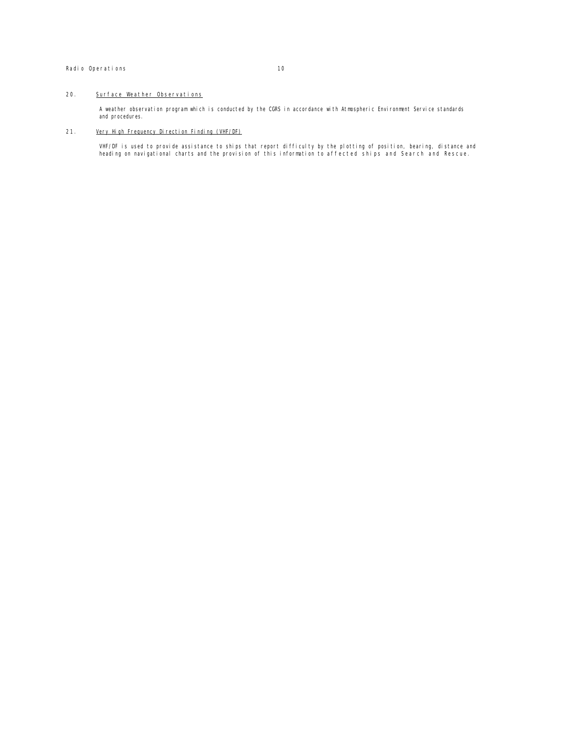#### Radio Operations 10

#### 20. Surface Weather Observations

A weather observation program which is conducted by the CGRS in accordance with Atmospheric Environment Service standards and procedures.

#### 21. Very High Frequency Direction Finding (VHF/DF)

VHF/DF is used to provide assistance to ships that report difficulty by the plotting of position, bearing, distance and<br>heading on navigational charts and the provision of this information to affected ships and Search and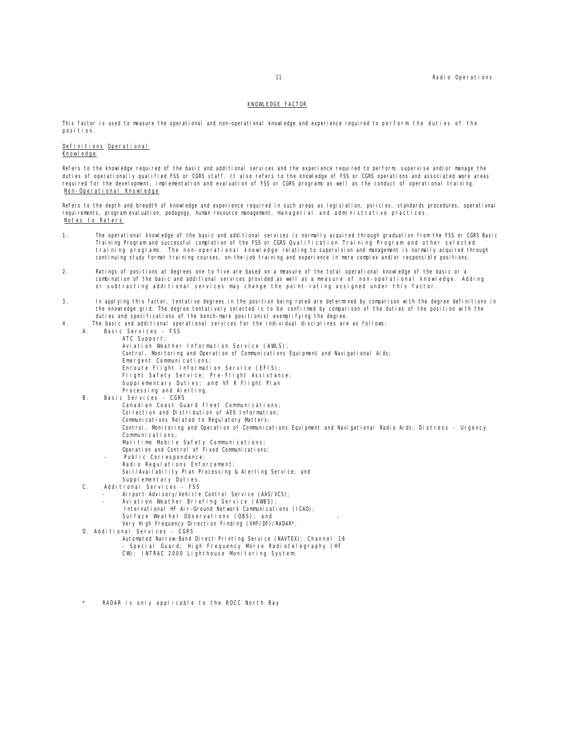#### KNOWLEDGE FACTOR

This factor is used to measure the operational and non-operational knowledge and experience required to perform the duties of the position.

Definitions Operational Knowledge

Refers to the knowledge required of the basic and additional services and the experience required to perform, supervise and/or manage the duties of operationally qualified FSS or CGRS staff. It also refers to the knowledge of FSS or CGRS operations and associated work areas required for the development, implementation and evaluation of FSS or CGRS programs as well as the conduct of operational training. Non-Operational Knowledge

Refers to the depth and breadth of knowledge and experience required in such areas as legislation, policies, standards procedures, operational requirements, program evaluation, pedagogy, human resource management, managerial and administrative practices. Notes to Raters

- 1. The operational knowledge of the basic and additional services is normally acquired through graduation from the FSS or CGRS Basic Training Program and successful completion of the FSS or CGRS Qualification Training Program and other selected training programs. The non-operational knowledge relating to supervision and management is normally acquired through continuing study format training courses, on-the-job training and experience in more complex and/or responsible positions.
- 2. Ratings of positions at degrees one to five are based on a measure of the total operational knowledge of the basic or a combination of the basic and additional services provided as well as a measure of non-operational knowledge. Adding or subtracting additional services may change the point-rating assigned under this factor.
- 3. In applying this factor, tentative degrees in the position being rated are determined by comparison with the degree definitions in the knowledge grid. The degree tentatively selected is to be confirmed by comparison of the duties of the position with the duties and specifications of the bench-mark position(s) exemplifying the degree.
- 4. The basic and additional operational services for the individual disciplines are as follows:<br>A Basic Services ESS
	- Basic Services FSS ATC Support; Aviation Weather Information Service (AWLS); Control, Monitoring and Operation of Communications Equipment and Navigational Aids; Emergent Communications; Enroute Flight Information Service (EFIS); Flight Safety Service; Pre-Flight Assistance; Supplementary Duties; and VF R Flight Plan Processing and Alerting.
	- B. Basic Services CGRS Canadian Coast Guard Fleet Communications; Collection and Distribution of AES Information; Communications Related to Regulatory Matters; Control, Monitoring and Operation of Communications Equipment and Navigational Radio Aids; Distress - Urgency Communications; Maritime Mobile Safety Communications; Operation and Control of Fixed Communications; Public Correspondence;
		- Radio Regulations Enforcement; Sail/Availability Plan Processing & Alerting Service; and
		- Supplementary Duties.
	- C. Additional Services FSS
		- Airport Advisory/Vehicle Control Service (AAS/VCS);
		- Aviation Weather Briefing Service (AWBS); International HF Air-Ground Network Communications (ICAO); Surface Weather Observations (OBS); and Very High Frequency Direction Finding (VHF/DF)/RADAR\*.
	- D. Additional Services CGRS
		- Automated Narrow-Band Direct-Printing Service (NAVTEX); Channel 16 - Special Guard; High Frequency Morse Radiotelegraphy (HF CW); INTRAC 2000 Lighthouse Monitoring System;
	- RADAR is only applicable to the ROCC North Bay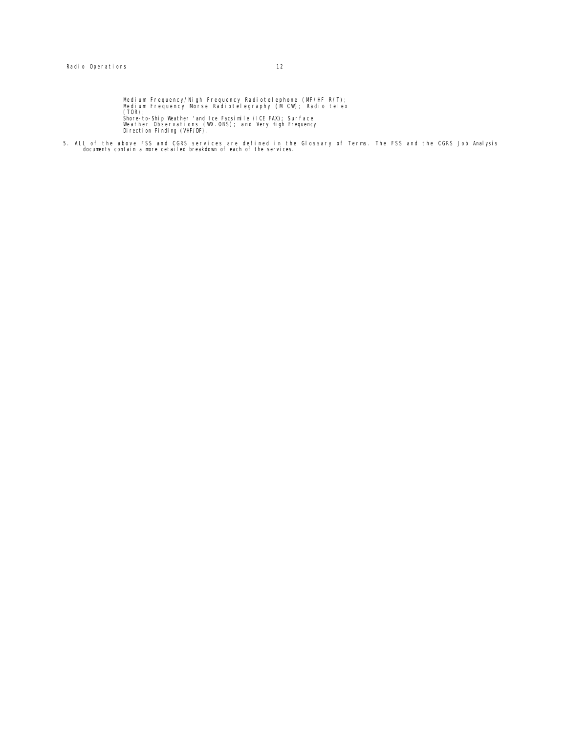Medium Frequency/Nigh Frequency Radiotelephone (MF/HF R/T);<br>Medium Frequency Morse Radiotelegraphy (M CW); Radio telex<br>(TOR);<br>Weather Observations (WX.OBS); and Very High Frequency<br>Weather Observations (WX.OBS); and Very H

5. ALL of the above FSS and CGRS services are defined in the Glossary of Terms. The FSS and the CGRS Job Analysis documents contain a more detailed breakdown of each of the services.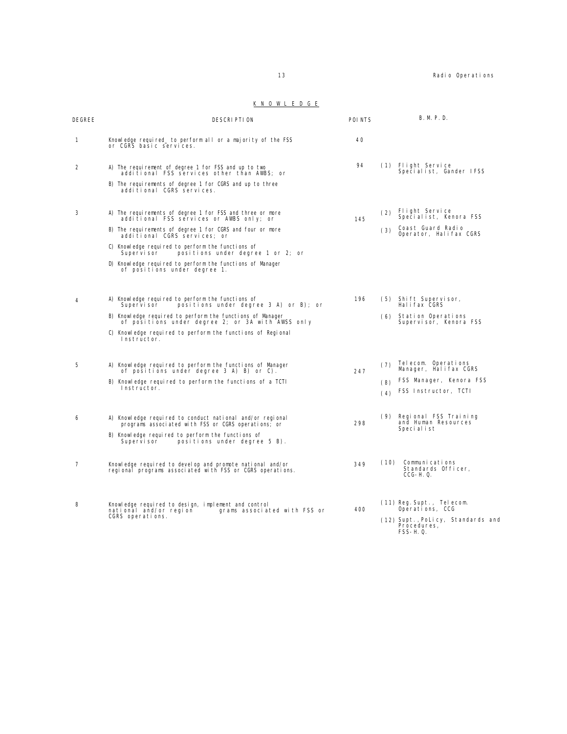#### K N O W L E D G E

| DEGREE         | <b>DESCRIPTION</b>                                                                                                                                                                                                                                                                                                                                                                                      | POI NTS | <b>B. M. P. D.</b>                                                                                                   |
|----------------|---------------------------------------------------------------------------------------------------------------------------------------------------------------------------------------------------------------------------------------------------------------------------------------------------------------------------------------------------------------------------------------------------------|---------|----------------------------------------------------------------------------------------------------------------------|
| $\mathbf{1}$   | Knowledge required to perform all or a majority of the FSS<br>or CGRS basic services.                                                                                                                                                                                                                                                                                                                   | 40      |                                                                                                                      |
| 2              | A) The requirement of degree 1 for FSS and up to two<br>additional FSS services other than AWBS; or<br>B) The requirements of degree 1 for CGRS and up to three<br>additional CGRS services.                                                                                                                                                                                                            | 94      | (1) Flight Service<br>Specialist, Gander IFSS                                                                        |
| 3              | A) The requirements of degree 1 for FSS and three or more<br>additional FSS services or AWBS only; or<br>B) The requirements of degree 1 for CGRS and four or more<br>additional CGRS services; or<br>C) Knowledge required to perform the functions of<br>positions under degree 1 or 2; or<br>Supervisor<br>D) Knowledge required to perform the functions of Manager<br>of positions under degree 1. | 145     | Flight Service<br>(2)<br>Specialist, Kenora FSS<br>Coast Guard Radio<br>(3)<br>Operator, Halifax CGRS                |
| Δ              | A) Knowledge required to perform the functions of<br>positions under degree 3 A) or B); or<br>Supervisor<br>B) Knowledge reguired to perform the functions of Manager<br>of positions under degree 2; or 3A with AWSS only<br>C) Knowledge reguired to perform the functions of Regional<br>Instructor.                                                                                                 | 196     | (5) Shift Supervisor,<br>Hal i fax CGRS<br>(6) Station Operations<br>Supervisor, Kenora FSS                          |
| 5              | A) Knowledge reguired to perform the functions of Manager<br>of positions under degree 3 A) B) or C).<br>B) Knowledge required to perform the functions of a TCTI<br>Instructor.                                                                                                                                                                                                                        | 247     | Telecom. Operations<br>(7)<br>Manager, Halifax CGRS<br>FSS Manager, Kenora FSS<br>(8)<br>FSS Instructor, TCTI<br>(4) |
| 6              | A) Knowledge required to conduct national and/or regional<br>programs associated with FSS or CGRS operations; or<br>B) Knowledge required to perform the functions of<br>positions under degree 5 B).<br>Supervisor                                                                                                                                                                                     | 298     | (9) Regional FSS Training<br>and Human Resources<br>Special ist                                                      |
| $\overline{7}$ | Knowledge required to develop and promote national and/or<br>regional programs associated with FSS or CGRS operations.                                                                                                                                                                                                                                                                                  | 349     | Communications<br>(10)<br>Standards Officer,<br>$CCG-H. Q.$                                                          |
| 8              | Knowledge required to design, implement and control<br>national and/or region<br>grams associated with FSS or<br>CGRS operations.                                                                                                                                                                                                                                                                       | 400     | (11) Reg. Supt., Telecom.<br>Operations, CCG<br>(12) Supt., PoLicy, Standards and<br>Procedures,<br>FSS-H.Q.         |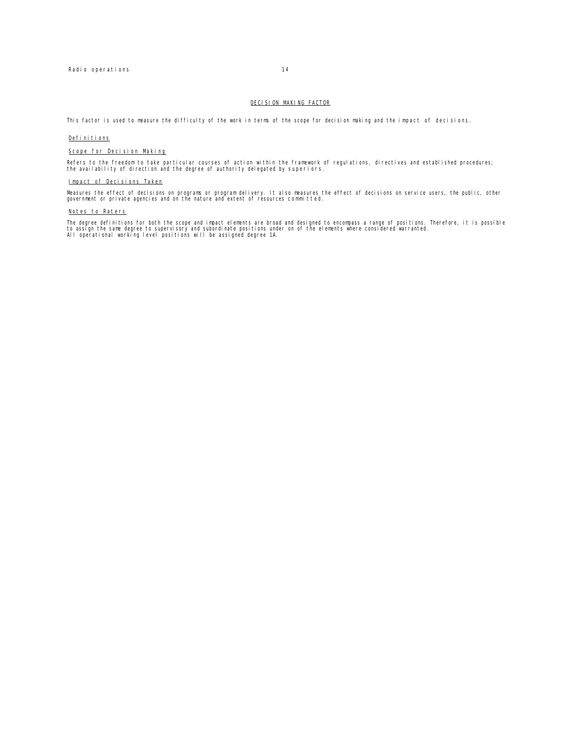#### DECISION MAKING FACTOR

This factor is used to measure the difficulty of the work in terms of the scope for decision making and the impact of decisions.

#### Definitions

#### Scope for Decision Making

Refers to the freedom to take particular courses of action within the framework of regulations, directives and established procedures;<br>the availability of direction and the degree of authority delegated by superiors.

#### Impact of Decisions Taken

Measures the effect of decisions on programs or program delivery. It also measures the effect of decisions on service users, the public, other<br>government or private agencies and on the nature and extent of resources commit

#### Notes to Raters

The degree definitions for both the scope and impact elements are broad and designed to encompass a range of positions. Therefore, it is possible<br>to assign the same degree to supervisory and subordinate positions under on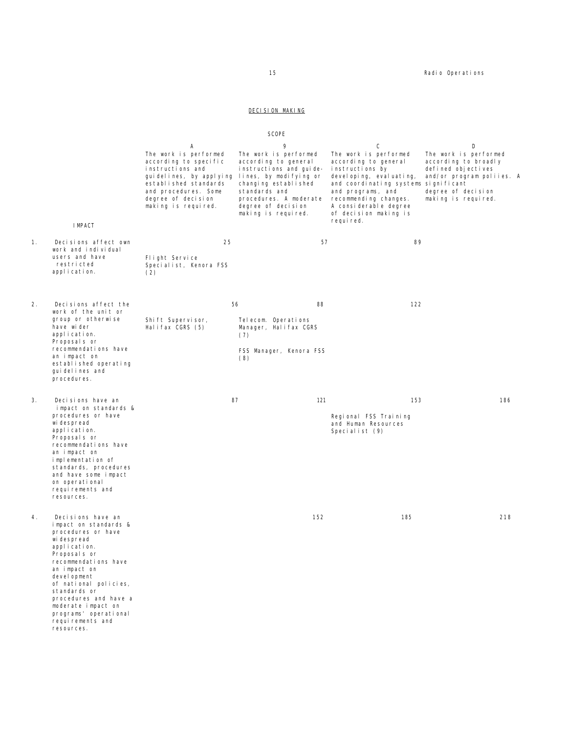#### DECISION MAKING

SCOPE

|    |                                                                                                                                                                                                                                                                                                                            |                                                                                                                                                                                                  | <b>JUULL</b>                                                                                                                                                                                                            |                                                                                                                                                                                                                                                        |     |                                                                                                                                                    |  |
|----|----------------------------------------------------------------------------------------------------------------------------------------------------------------------------------------------------------------------------------------------------------------------------------------------------------------------------|--------------------------------------------------------------------------------------------------------------------------------------------------------------------------------------------------|-------------------------------------------------------------------------------------------------------------------------------------------------------------------------------------------------------------------------|--------------------------------------------------------------------------------------------------------------------------------------------------------------------------------------------------------------------------------------------------------|-----|----------------------------------------------------------------------------------------------------------------------------------------------------|--|
|    | <b>I MPACT</b>                                                                                                                                                                                                                                                                                                             | Α<br>The work is performed<br>according to specific<br>instructions and<br>guidelines, by applying<br>established standards<br>and procedures. Some<br>degree of decision<br>making is required. | 9<br>The work is performed<br>according to general<br>instructions and guide-<br>lines, by modifying or<br>changing established<br>standards and<br>procedures. A moderate<br>degree of decision<br>making is required. | C<br>The work is performed<br>according to general<br>instructions by<br>devel oping, evaluating,<br>and coordinating systems significant<br>and programs, and<br>recommending changes.<br>A considerable degree<br>of decision making is<br>required. |     | D<br>The work is performed<br>according to broadly<br>defined objectives<br>and/or program poliies. A<br>degree of decision<br>making is required. |  |
| 1. | Decisions affect own<br>work and individual<br>users and have<br>restricted<br>application.                                                                                                                                                                                                                                | 25<br>Flight Service<br>Specialist, Kenora FSS<br>(2)                                                                                                                                            |                                                                                                                                                                                                                         | 57                                                                                                                                                                                                                                                     | 89  |                                                                                                                                                    |  |
| 2. | Decisions affect the<br>work of the unit or<br>group or otherwise<br>have wider<br>application.<br>Proposal s or<br>recommendations have<br>an impact on<br>established operating<br>gui del i nes and<br>procedures.                                                                                                      | Shift Supervisor,<br>Halifax CGRS (5)                                                                                                                                                            | 56<br>88<br>Telecom. Operations<br>Manager, Halifax CGRS<br>(7)<br>FSS Manager, Kenora FSS<br>(8)                                                                                                                       |                                                                                                                                                                                                                                                        | 122 |                                                                                                                                                    |  |
| 3. | Decisions have an<br>impact on standards &<br>procedures or have<br>wi despread<br>application.<br>Proposal s or<br>recommendations have<br>an impact on<br>implementation of<br>standards, procedures<br>and have some impact<br>on operational<br>requirements and<br>resources.                                         |                                                                                                                                                                                                  | 87                                                                                                                                                                                                                      | 121<br>Regional FSS Training<br>and Human Resources<br>Specialist (9)                                                                                                                                                                                  | 153 | 186                                                                                                                                                |  |
| 4. | Decisions have an<br>impact on standards &<br>procedures or have<br>wi despread<br>application.<br>Proposals or<br>recommendations have<br>an impact on<br>devel opment<br>of national policies,<br>standards or<br>procedures and have a<br>moderate impact on<br>programs' operational<br>requirements and<br>resources. |                                                                                                                                                                                                  | 152                                                                                                                                                                                                                     |                                                                                                                                                                                                                                                        | 185 | 218                                                                                                                                                |  |

15 **Radio Operations**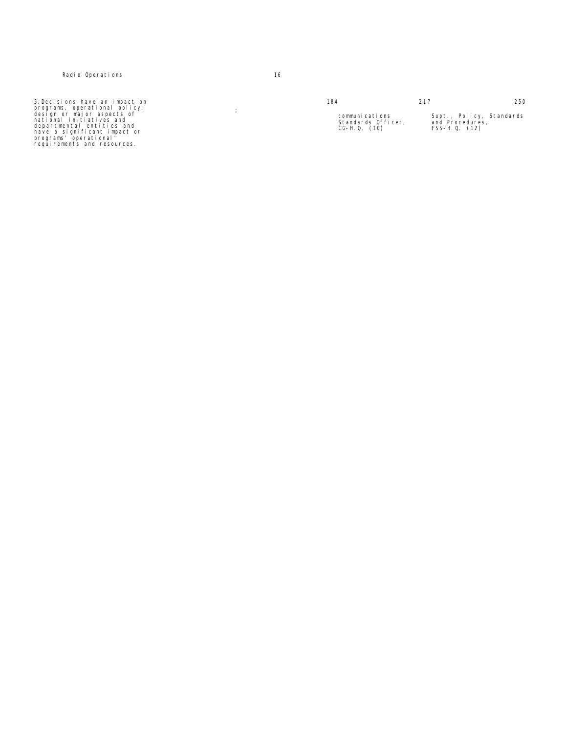5.Decisions have an impact on programs, operational policy, design or major aspects of national initiatives and departmental entities and have a significant impact or programs' operational' requirements and resources.

 $\langle \cdot \rangle$  ;

| 184                                                     | 217                                                             | 250 |
|---------------------------------------------------------|-----------------------------------------------------------------|-----|
| communications<br>Standards Officer.<br>$CG-H. Q. (10)$ | Supt., Policy, Standards<br>and Procedures,<br>$FSS-H. Q. (12)$ |     |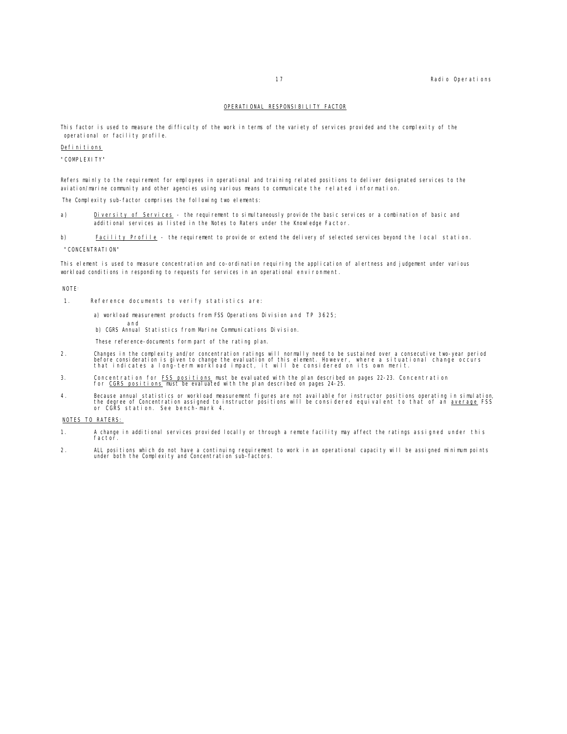#### OPERATIONAL RESPONSIBILITY FACTOR

This factor is used to measure the difficulty of the work in terms of the variety of services provided and the complexity of the operational or facility profile.

#### Definitions

"COMPLEXITY"

Refers mainly to the requirement for employees in operational and training related positions to deliver designated services to the aviation/marine community and other agencies using various means to communicate the related information.

The Complexity sub-factor comprises the following two elements:

a) Diversity of Services - the requirement to simultaneously provide the basic services or a combination of basic and additional services as listed in the Notes to Raters under the Knowledge Factor.

b) Facility Profile - the requirement to provide or extend the delivery of selected services beyond the local station.

"CONCENTRATION"

This element is used to measure concentration and co-ordination requiring the application of alertness and judgement under various workload conditions in responding to requests for services in an operational environment.

**NOTE** 

- 1. Reference documents to verify statistics are:
	- a) workload measurement products from FSS Operations Division and TP 3625;
	- and b) CGRS Annual Statistics from Marine Communications Division.
	- These reference-documents form part of the rating plan.
- 2. Changes in the complexity and/or concentration ratings will normally need to be sustained over a consecutive two-year period<br>before consideration is given to change the evaluation of this element. However, where a situa
- 3. Concentration for <u>FSS positions</u> must be evaluated with the plan described on pages 22-23. Concentration<br>for <u>CGRS positions</u> must be evaluated with the plan described on pages 24-25.
- 4. Because annual statistics or workload measurement figures are not available for instructor positions operating in simulation,<br>the degree of Concentration assigned to instructor positions will be considered equivalent to

#### NOTES TO RATERS:

- 1. A change in additional services provided locally or through a remote facility may affect the ratings assigned under this factor.
- 2. ALL positions which do not have a continuing requirement to work in an operational capacity will be assigned minimum points under both the Complexity and Concentration sub-factors.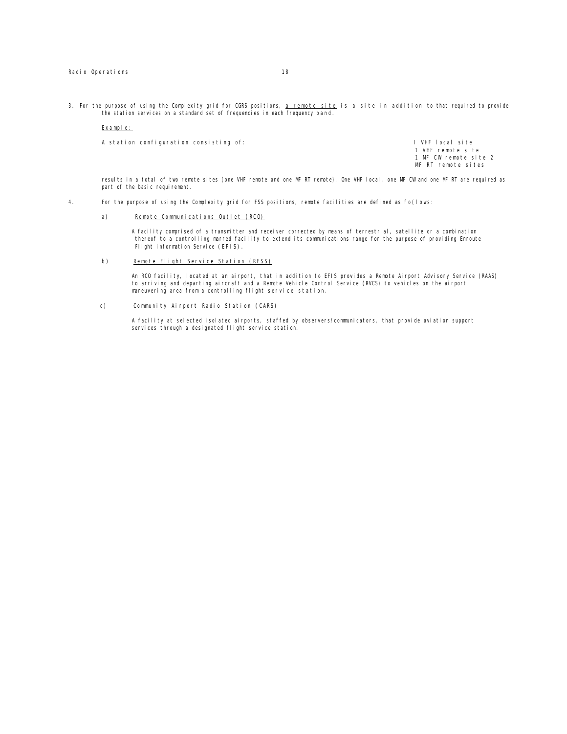3. For the purpose of using the Complexity grid for CGRS positions, a remote site is a site in addition to that required to provide the station services on a standard set of frequencies in each frequency band.

#### Example:

A station configuration consisting of: I VHF local site

1 VHF remote site 1 MF CW remote site 2 MF RT remote sites

results in a total of two remote sites (one VHF remote and one MF RT remote). One VHF local, one MF CW and one MF RT are required as part of the basic requirement.

- 4. For the purpose of using the Complexity grid for FSS positions, remote facilities are defined as fo(lows:
	- a) Remote Communications Outlet (RCO)

A facility comprised of a transmitter and receiver corrected by means of terrestrial, satellite or a combination thereof to a controlling marred facility to extend its communications range for the purpose of providing Enroute Flight information Service (EFIS).

b) Remote Flight Service Station (RFSS)

An RCO facility, located at an airport, that in addition to EFIS provides a Remote Airport Advisory Service (RAAS) to arriving and departing aircraft and a Remote Vehicle Control Service (RVCS) to vehicles on the airport maneuvering area from a controlling flight service station.

c) Community Airport Radio Station (CARS)

A facility at selected isolated airports, staffed by observers/communicators, that provide aviation support services through a designated flight service station.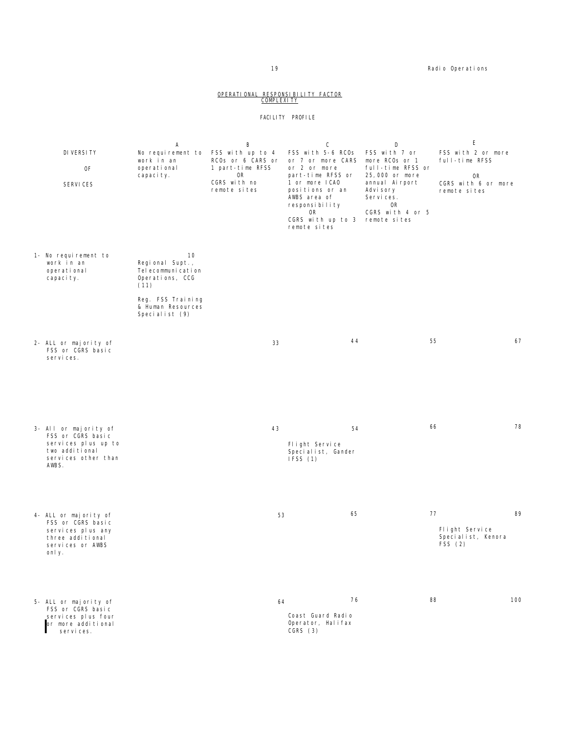#### 19 **Radio Operations** Radio Operations

### <u>OPERATIONAL RESPONSIBILITY FACTOR</u><br>COMPLEXITY

#### FACILITY PROFILE

|                                                                                                                     | А                                                                        | В                                                                               | С                                                                                             | D                                                                                        | E                                                                 |
|---------------------------------------------------------------------------------------------------------------------|--------------------------------------------------------------------------|---------------------------------------------------------------------------------|-----------------------------------------------------------------------------------------------|------------------------------------------------------------------------------------------|-------------------------------------------------------------------|
| DI VERSI TY<br>0F<br><b>SERVICES</b>                                                                                | No requirement to<br>work in an<br>operational<br>capacity.              | FSS with up to 4<br>RCOs or 6 CARS or<br>1 part-time RFSS<br>0R<br>CGRS with no | FSS with 5-6 RCOs<br>or 7 or more CARS<br>or 2 or more<br>part-time RFSS or<br>1 or more ICAO | FSS with 7 or<br>more RCOs or 1<br>full-time RFSS or<br>25,000 or more<br>annual Airport | FSS with 2 or more<br>full-time RFSS<br>0R<br>CGRS with 6 or more |
|                                                                                                                     |                                                                          | remote sites                                                                    | positions or an<br>AWBS area of<br>responsibility<br>0R<br>CGRS with up to 3<br>remote sites  | Advi sory<br>Services.<br>0R<br>CGRS with 4 or 5<br>remote sites                         | remote sites                                                      |
| 1- No requirement to<br>work in an<br>operational<br>capaci ty.                                                     | 10<br>Regional Supt.,<br>Tel ecommuni cati on<br>Operations, CCG<br>(11) |                                                                                 |                                                                                               |                                                                                          |                                                                   |
|                                                                                                                     | Reg. FSS Training<br>& Human Resources<br>Specialist (9)                 |                                                                                 |                                                                                               |                                                                                          |                                                                   |
| 2- ALL or majority of<br>FSS or CGRS basic<br>services.                                                             |                                                                          | 33                                                                              | 44                                                                                            | 55                                                                                       | 67                                                                |
| 3- All or majority of<br>FSS or CGRS basic<br>services plus up to<br>two additional<br>services other than<br>AWBS. |                                                                          | 43                                                                              | 54<br>Flight Service<br>Specialist, Gander<br>IFSS(1)                                         | 66                                                                                       | 78                                                                |
| 4- ALL or majority of<br>FSS or CGRS basic<br>services plus any<br>three additional<br>services or AWBS<br>only.    |                                                                          | 53                                                                              | 65                                                                                            | 77                                                                                       | 89<br>Flight Service<br>Specialist, Kenora<br>FSS(2)              |
| 5- ALL or majority of<br>FSS or CGRS basic<br>services plus four<br>or more additional<br>servi ces.                |                                                                          | 64                                                                              | 76<br>Coast Guard Radio<br>Operator, Halifax<br>CGRS (3)                                      | 88                                                                                       | 100                                                               |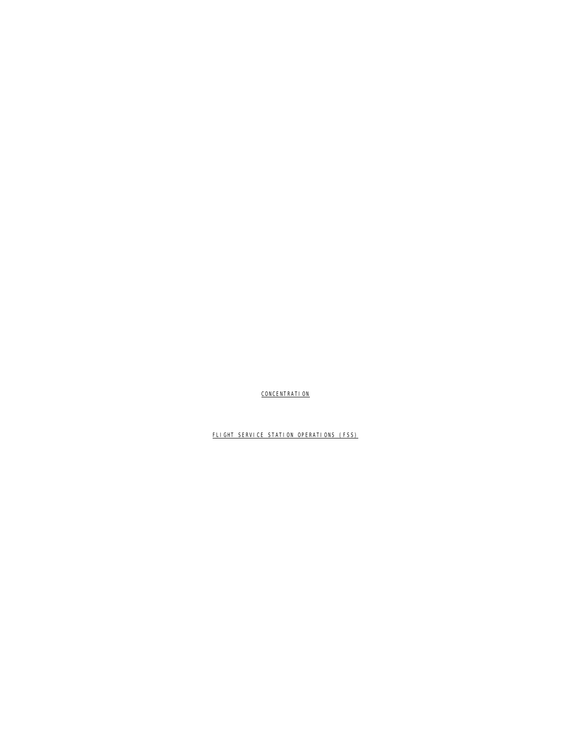FLIGHT SERVICE STATION OPERATIONS (FSS)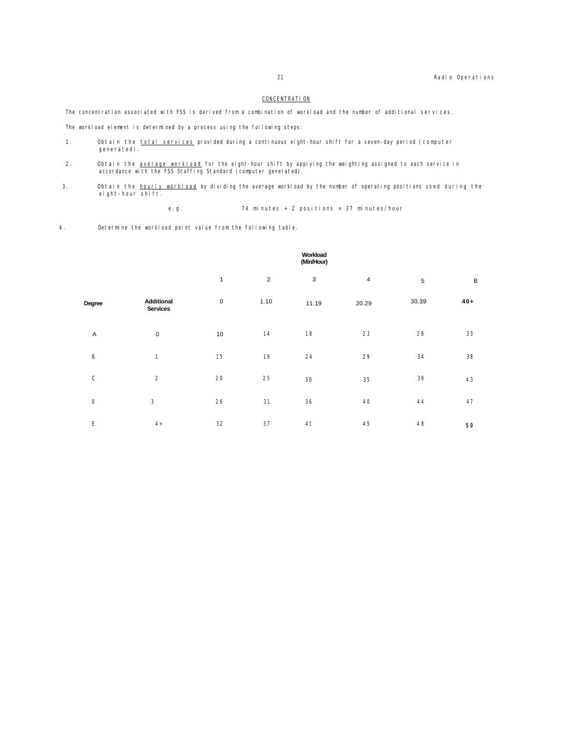The concentration associated with FSS is derived from a combination of workload and the number of additional services.

The workload element is determined by a process using the following steps:

- 1. Obtain the total services provided during a continuous eight-hour shift for a seven-day period (computer generated).
- 2. Obtain the <u>average workload</u> for the eight-hour shift by applying the weighting assigned to each service in accordance with the FSS Staffing Standard (computer generated).
- 3. Obtain the <u>hourly workload</u> by dividing the average workload by the number of operating positions used during the eight-hour shift.

e.g. 74 minutes + 2 positions = 37 minutes/hour

4. Determine the workload point value from the following table.

|                           |                               | Workload<br>(Min/Hour) |                |             |                |       |         |
|---------------------------|-------------------------------|------------------------|----------------|-------------|----------------|-------|---------|
|                           |                               | $\mathbf{1}$           | $\overline{2}$ | $\mathsf 3$ | $\overline{4}$ | 5     | $\sf B$ |
| Degree                    | Additional<br><b>Services</b> | $\pmb{0}$              | 1.10           | 11.19       | 20.29          | 30.39 | $40+$   |
| $\boldsymbol{\mathsf{A}}$ | $\mathbf 0$                   | $10\,$                 | 14             | 18          | 23             | 28    | 33      |
| B                         | 1                             | 15                     | 19             | 24          | 29             | 34    | 38      |
| $\mathsf C$               | $\overline{2}$                | 20                     | 25             | 30          | 35             | 39    | 43      |
| $\mathsf{O}$              | 3                             | 26                     | 31             | 36          | 40             | 44    | 47      |
| E                         | $4+$                          | 32                     | 37             | 41          | 45             | 48    | 50      |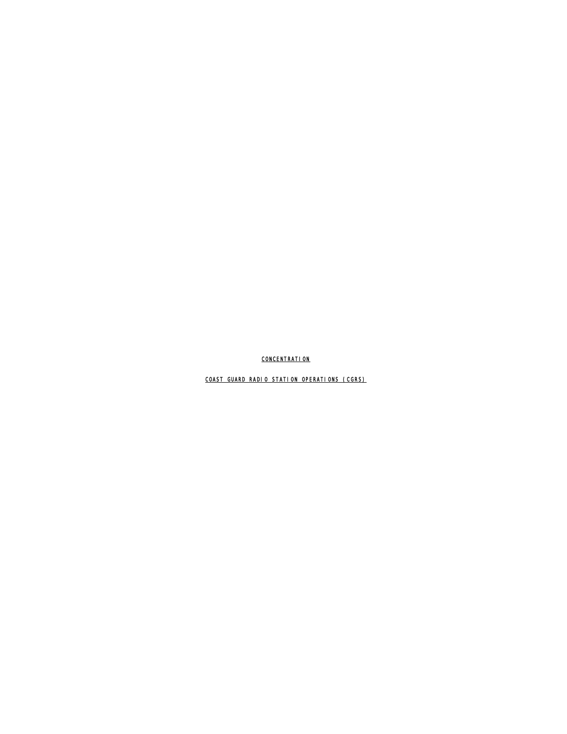COAST GUARD RADIO STATION OPERATIONS (CGRS)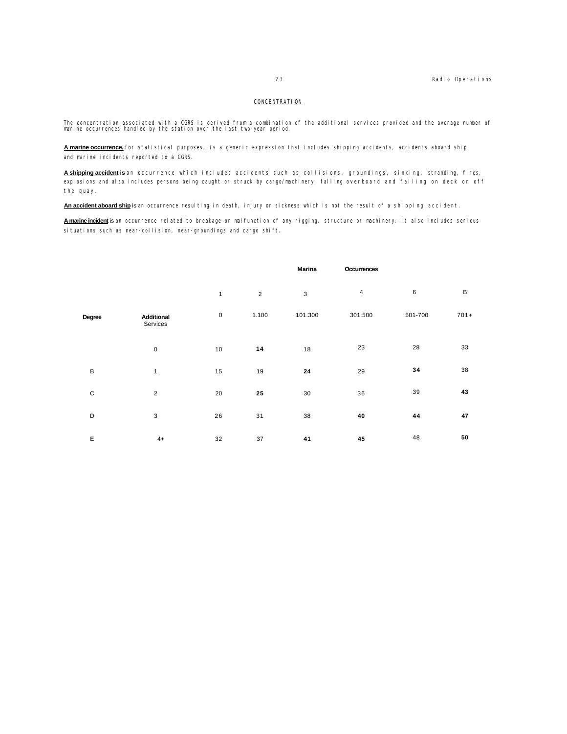The concentration associated with a CGRS is derived from a combination of the additional services provided and the average number of marine occurrences handled by the station over the last two-year period.

**A marine occurrence,** for statistical purposes, is a generic expression that includes shipping accidents, accidents aboard ship and marine incidents reported to a CGRS.

**A shipping accident is** an occurrence which includes accidents such as collisions, groundings, sinking, stranding, fires, explosions and also includes persons being caught or struck by cargo/machinery, falling overboard and falling on deck or off the quay.

**An accident aboard ship** is an occurrence resulting in death, injury or sickness which is not the result of a shipping accident.

**A marine incident** is an occurrence related to breakage or malfunction of any rigging, structure or machinery. It also includes serious situations such as near-collision, near-groundings and cargo shift.

|              |                        |              |                | <b>Marina</b> | Occurrences    |         |             |
|--------------|------------------------|--------------|----------------|---------------|----------------|---------|-------------|
|              |                        | $\mathbf{1}$ | $\overline{2}$ | 3             | $\overline{4}$ | 6       | $\mathsf B$ |
| Degree       | Additional<br>Services | $\pmb{0}$    | 1.100          | 101.300       | 301.500        | 501-700 | $701+$      |
|              | $\pmb{0}$              | 10           | 14             | 18            | 23             | 28      | 33          |
| $\mathsf B$  | 1                      | 15           | 19             | 24            | 29             | 34      | 38          |
| $\mathsf{C}$ | $\sqrt{2}$             | 20           | 25             | 30            | 36             | 39      | 43          |
| D            | $\mathsf 3$            | 26           | 31             | 38            | 40             | 44      | 47          |
| E            | $4+$                   | 32           | 37             | 41            | 45             | 48      | 50          |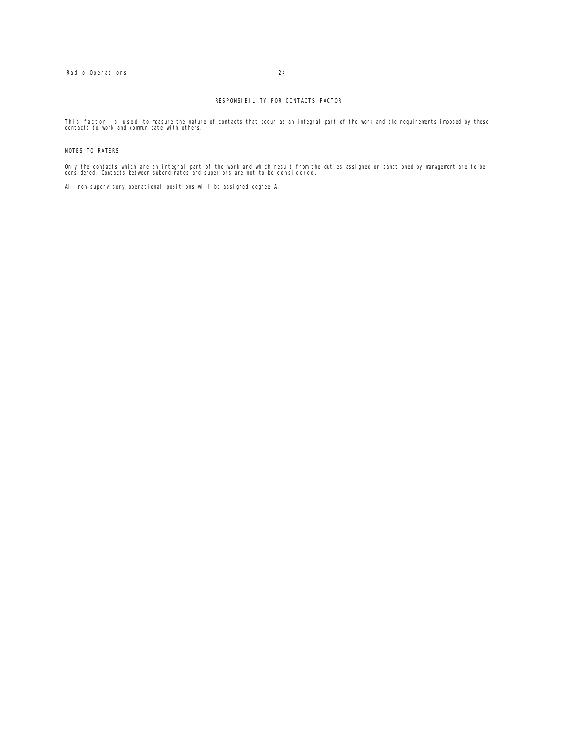#### RESPONSIBILITY FOR CONTACTS FACTOR

This factor is used to measure the nature of contacts that occur as an integral part of the work and the requirements imposed by these contacts to work and communicate with others.

#### NOTES TO RATERS

Only the contacts which are an integral part of the work and which result from the duties assigned or sanctioned by management are to be considered. Contacts between subordinates and superiors are not to be considered.

All non-supervisory operational positions will be assigned degree A.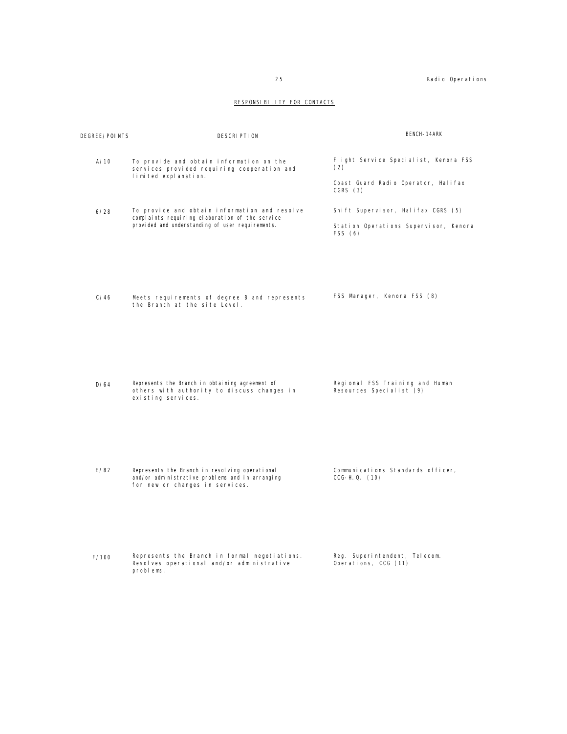### RESPONSIBILITY FOR CONTACTS

| DEGREE/POINTS | DESCRIPTION                                                                                                                                           | BENCH-14ARK                                                                                    |
|---------------|-------------------------------------------------------------------------------------------------------------------------------------------------------|------------------------------------------------------------------------------------------------|
| A/10          | To provide and obtain information on the<br>services provided requiring cooperation and<br>limited explanation.                                       | Flight Service Specialist, Kenora FSS<br>(2)<br>Coast Guard Radio Operator, Halifax<br>CGRS(3) |
| 6/28          | To provide and obtain information and resolve<br>complaints requiring elaboration of the service<br>provi ded and understanding of user requirements. | Shift Supervisor, Halifax CGRS (5)<br>Station Operations Supervisor, Kenora<br>FSS (6)         |
| C/46          | Meets requirements of degree B and represents<br>the Branch at the site Level.                                                                        | FSS Manager, Kenora FSS (8)                                                                    |
| D/64          | Represents the Branch in obtaining agreement of<br>others with authority to discuss changes in<br>existing services.                                  | Regional FSS Training and Human<br>Resources Specialist (9)                                    |
| E/82          | Represents the Branch in resolving operational<br>and/or administrative problems and in arranging<br>for new or changes in services.                  | Communications Standards officer,<br>$CCG-H. Q. (10)$                                          |
|               |                                                                                                                                                       |                                                                                                |

F/100 Represents the Branch in formal negotiations. Resolves operational and/or administrative problems.

Reg. Superintendent, Telecom. Operations, CCG (11)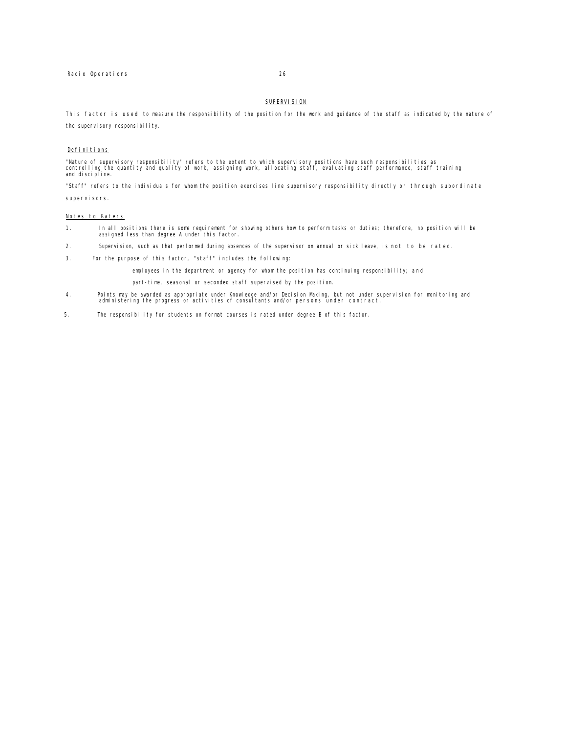#### SUPERVISION

This factor is used to measure the responsibility of the position for the work and guidance of the staff as indicated by the nature of the supervisory responsibility.

#### Definitions

"Nature of supervisory responsibility" refers to the extent to which supervisory positions have such responsibilities as<br>controlling the quantity and quality of work, assigning work, allocating staff, evaluating staff perf

"Staff" refers to the individuals for whom the position exercises line supervisory responsibility directly or through subordinate supervi sors.

#### Notes to Raters

- 1. In all positions there is some requirement for showing others how to perform tasks or duties; therefore, no position will be assigned less than degree A under this factor.
- 2. Supervision, such as that performed during absences of the supervisor on annual or sick leave, is not to be rated.
- 3. For the purpose of this factor, "staff" includes the following:

employees in the department or agency for whom the position has continuing responsibility; and

part-time, seasonal or seconded staff supervised by the position.

- 4. Points may be awarded as appropriate under Knowledge and/or Decision Making, but not under supervision for monitoring and administering the progress or activities of consultants and/or persons under contract.
- 5. The responsibility for students on format courses is rated under degree B of this factor.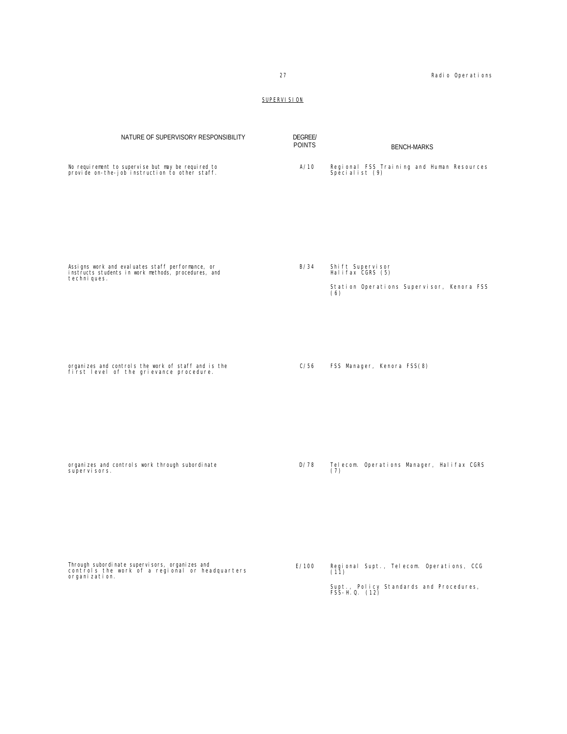Supt., Policy Standards and Procedures, FSS-H.Q. (12)

### SUPERVISION

| NATURE OF SUPERVISORY RESPONSIBILITY                                                                                    | <b>DEGREE/</b><br><b>POINTS</b> | <b>BENCH-MARKS</b>                                                                       |
|-------------------------------------------------------------------------------------------------------------------------|---------------------------------|------------------------------------------------------------------------------------------|
| No requirement to supervise but may be required to<br>provide on-the-job instruction to other staff.                    | A/10                            | Regional FSS Training and Human Resources<br>Specialist (9)                              |
| Assigns work and evaluates staff performance, or<br>instructs students in work methods, procedures, and<br>techni ques. | B/34                            | Shift Supervisor<br>Halifax CGRS (5)<br>Station Operations Supervisor, Kenora FSS<br>(6) |
| organizes and controls the work of staff and is the<br>first level of the grievance procedure.                          | C/56                            | FSS Manager, Kenora FSS(8)                                                               |
| organizes and controls work through subordinate<br>supervi sors.                                                        | D/78                            | Telecom. Operations Manager, Halifax CGRS<br>(7)                                         |
| Through subordi nate supervi sors, organi zes and<br>controls the work of a regional or headquarters<br>organi zati on. | E/100                           | Regional Supt., Telecom. Operations, CCG<br>(11)                                         |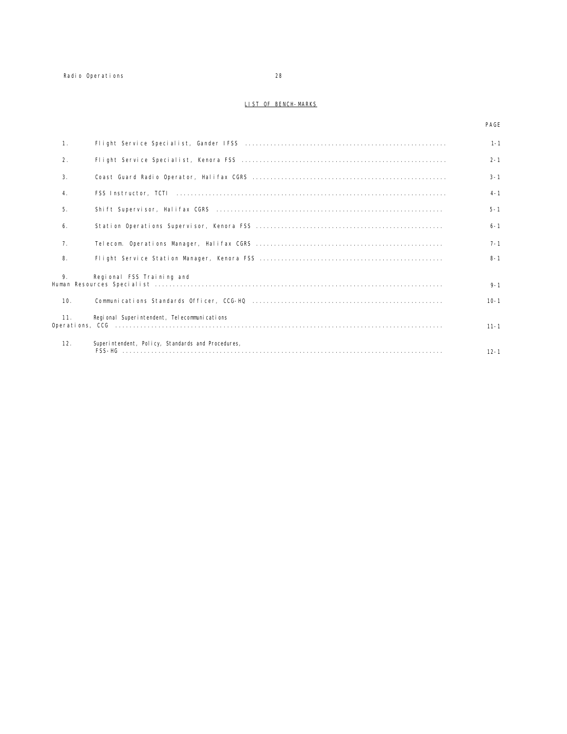#### LIST OF BENCH-MARKS

#### PAGE

| 1.  |                                                   | $1 - 1$  |
|-----|---------------------------------------------------|----------|
| 2.  |                                                   | $2 - 1$  |
| 3.  |                                                   | $3 - 1$  |
| 4.  |                                                   | $4 - 1$  |
| 5.  |                                                   | $5 - 1$  |
| 6.  |                                                   | $6 - 1$  |
| 7.  |                                                   | $7 - 1$  |
| 8.  |                                                   | $8 - 1$  |
| 9.  | Regional FSS Training and                         | $9 - 1$  |
| 10. |                                                   | $10 - 1$ |
| 11. | Regional Superintendent, Telecommunications       | $11 - 1$ |
| 12. | Superintendent, Policy, Standards and Procedures, | $12 - 1$ |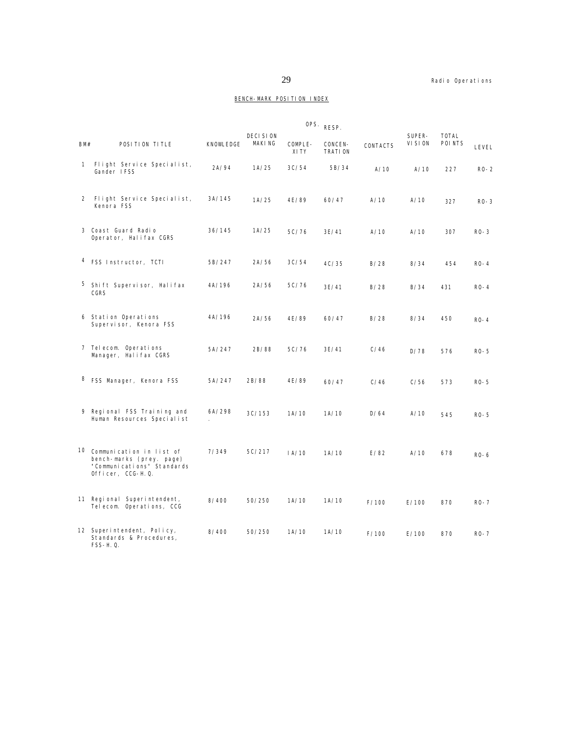### BENCH-MARK POSITION INDEX

|              |                                                                                                            |           |                                  | OPS.             | RESP.              |          |                    |                         |          |
|--------------|------------------------------------------------------------------------------------------------------------|-----------|----------------------------------|------------------|--------------------|----------|--------------------|-------------------------|----------|
| BM#          | POSITION TITLE                                                                                             | KNOWLEDGE | <b>DECISION</b><br><b>MAKING</b> | COMPLE-<br>XI TY | CONCEN-<br>TRATION | CONTACTS | SUPER-<br>VI SI ON | <b>TOTAL</b><br>POI NTS | LEVEL    |
| $\mathbf{1}$ | Flight Service Specialist,<br>Gander IFSS                                                                  | 2A/94     | 1A/25                            | 3C/54            | 5B/34              | A/10     | A/10               | 227                     | $R0-2$   |
| 2            | Flight Service Specialist,<br>Kenora FSS                                                                   | 3A/145    | 1A/25                            | 4E/89            | 60/47              | A/10     | A/10               | 327                     | $RO-3$   |
|              | 3 Coast Guard Radio<br>Operator, Halifax CGRS                                                              | 36/145    | 1A/25                            | 5C/76            | 3E/41              | A/10     | A/10               | 307                     | $RO-3$   |
|              | <sup>4</sup> FSS Instructor, TCTI                                                                          | 5B/247    | 2A/56                            | 3C/54            | 4C/35              | B/28     | 8/34               | 454                     | $RO-4$   |
|              | 5 Shift Supervisor, Halifax<br>CGRS                                                                        | 4A/196    | 2A/56                            | 5C/76            | 3E/41              | B/28     | B/34               | 431                     | $RO-4$   |
|              | 6 Station Operations<br>Supervisor, Kenora FSS                                                             | 4A/196    | 2A/56                            | 4E/89            | 60/47              | B/28     | 8/34               | 450                     | $RO-4$   |
|              | 7 Telecom. Operations<br>Manager, Halifax CGRS                                                             | 5A/247    | 2B/88                            | 5C/76            | 3E/41              | C/46     | D/78               | 576                     | $RO-5$   |
|              | 8 FSS Manager, Kenora FSS                                                                                  | 5A/247    | 2B/88                            | 4E/89            | 60/47              | C/46     | C/56               | 573                     | $RO-5$   |
|              | 9 Regional FSS Training and<br>Human Resources Specialist                                                  | 6A/298    | 3C/153                           | 1A/10            | 1A/10              | D/64     | A/10               | 545                     | $RO-5$   |
|              | 10 Communication in list of<br>bench-marks (prey. page)<br>"Communications" Standards<br>Officer, CCG-H.Q. | 7/349     | 5C/217                           | IA/10            | 1A/10              | E/82     | A/10               | 678                     | $RO-6$   |
|              | 11 Regional Superintendent,<br>Telecom. Operations, CCG                                                    | 8/400     | 50/250                           | 1A/10            | 1A/10              | F/100    | E/100              | 870                     | $RO-7$   |
|              | 12 Superintendent, Policy,<br>Standards & Procedures,<br>FSS-H. Q.                                         | 8/400     | 50/250                           | 1A/10            | 1A/10              | F/100    | E/100              | 870                     | $RO - 7$ |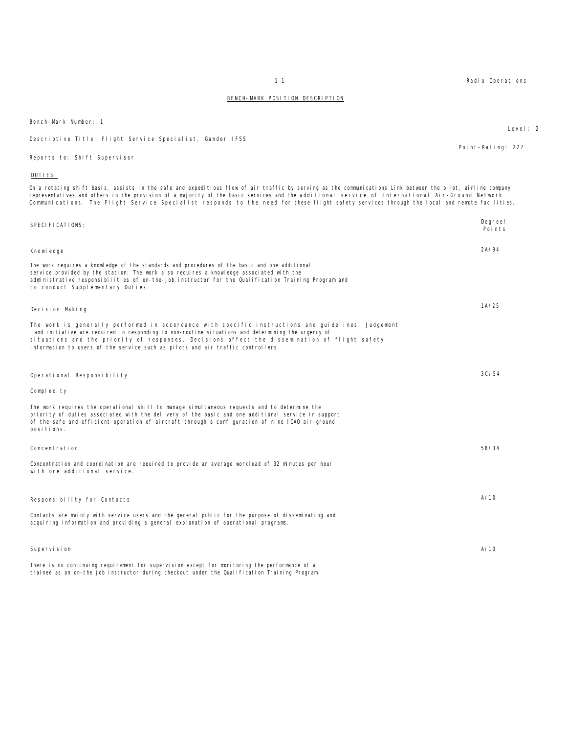| On a rotating shift basis, assists in the safe and expeditious flow of air traffic by serving as the communications Link between the pilot, airline company<br>representatives and others in the provision of a majority of the basic services and the additional service of International Air-Ground Network<br>Communications. The Flight Service Specialist responds to the need for these flight safety services through the local and remote facilitie |                   |
|-------------------------------------------------------------------------------------------------------------------------------------------------------------------------------------------------------------------------------------------------------------------------------------------------------------------------------------------------------------------------------------------------------------------------------------------------------------|-------------------|
| SPECI FI CATI ONS:                                                                                                                                                                                                                                                                                                                                                                                                                                          | Degree/<br>Points |
| Knowl edge                                                                                                                                                                                                                                                                                                                                                                                                                                                  | 2A/94             |
| The work requires a knowledge of the standards and procedures of the basic and one additional<br>service provided by the station. The work also requires a knowledge associated with the<br>administrative responsibilities of on-the-job instructor for the Qualification Training Program and<br>to conduct Supplementary Duties.                                                                                                                         |                   |
| Decision Making                                                                                                                                                                                                                                                                                                                                                                                                                                             | 1A/25             |
| The work is generally performed in accordance with specific instructions and guidelines. Judgement<br>and initiative are required in responding to non-routine situations and determining the urgency of<br>situations and the priority of responses. Decisions affect the dissemination of flight safety<br>information to users of the service such as pilots and air traffic controllers.                                                                |                   |
| Operational Responsibility                                                                                                                                                                                                                                                                                                                                                                                                                                  | 3C/54             |
| Complexity                                                                                                                                                                                                                                                                                                                                                                                                                                                  |                   |
| The work requires the operational skill to manage simultaneous requests and to determine the<br>priority of duties associated with the delivery of the basic and one additional service in support<br>of the safe and efficient operation of aircraft through a configuration of nine ICAO air-ground<br>posi ti ons.                                                                                                                                       |                   |
| Concentration                                                                                                                                                                                                                                                                                                                                                                                                                                               | 58/34             |
| Concentration and coordination are required to provide an average workload of 32 minutes per hour<br>with one additional service.                                                                                                                                                                                                                                                                                                                           |                   |
| Responsibility for Contacts                                                                                                                                                                                                                                                                                                                                                                                                                                 | A/10              |
| Contacts are mainly with service users and the general public for the purpose of disseminating and<br>acquiring information and providing a general explanation of operational programs.                                                                                                                                                                                                                                                                    |                   |
| Supervision                                                                                                                                                                                                                                                                                                                                                                                                                                                 | A/10              |
| There is no continuing requirement for supervision except for monitoring the performance of a<br>trainee as an on-the job instructor during checkout under the Qualification Training Program.                                                                                                                                                                                                                                                              |                   |

#### Bench-Mark Number: 1

Descriptive Title: Flight Service Specialist, Gander IFSS

Reports to: Shift Supervisor

#### DUTIES:

On a rotating shift basis, assists in the safe and expeditious flow of air traffic by serving as the communications Link between the pilot, airline company<br>representatives and others in the provision of a majority of the b representatives and others in the provision of a majority of the basic services and the additional service of International Air-Ground Network Communications. The Flight Service Specialist responds to the need for these flight safety services through the local and remote facilities.

1-1 Radio Operations

Point-Rating: 227

#### Level: 2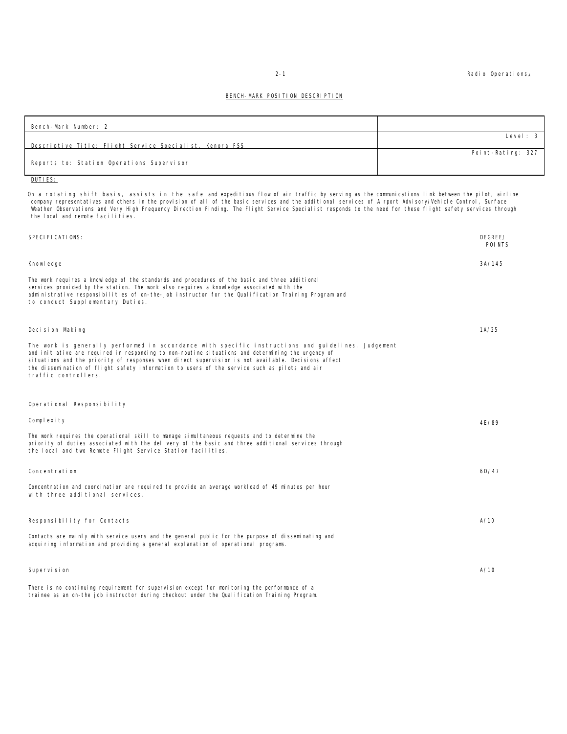2-1 Radio Operations<sub>A</sub>

#### BENCH-MARK POSITION DESCRIPTION

| Bench-Mark Number: 2                                     |                   |
|----------------------------------------------------------|-------------------|
|                                                          | Level: 3          |
| Descriptive Title: Flight Service Specialist, Kenora FSS |                   |
|                                                          | Point-Rating: 327 |
| Reports to: Station Operations Supervisor                |                   |

DUTIES:

On a rotating shift basis, assists in the safe and expeditious flow of air traffic by serving as the communications link between the pilot, airline<br>company representatives and others in the provision of all of the basic se Weather Observations and Very High Frequency Direction Finding. The Flight Service Specialist responds to the need for these flight safety services through the local and remote facilities.

| SPECI FI CATI ONS:                                                                                                                                                                                                                                                                                                                                                                                                                        | DEGREE/<br>POI NTS |
|-------------------------------------------------------------------------------------------------------------------------------------------------------------------------------------------------------------------------------------------------------------------------------------------------------------------------------------------------------------------------------------------------------------------------------------------|--------------------|
| Knowl edge                                                                                                                                                                                                                                                                                                                                                                                                                                | 3A/145             |
| The work requires a knowledge of the standards and procedures of the basic and three additional<br>services provided by the station. The work also requires a knowledge associated with the<br>administrative responsibilities of on-the-job instructor for the Qualification Training Program and<br>to conduct Supplementary Duties.                                                                                                    |                    |
| Decision Making                                                                                                                                                                                                                                                                                                                                                                                                                           | 1A/25              |
| The work is generally performed in accordance with specific instructions and guidelines. Judgement<br>and initiative are required in responding to non-routine situations and determining the urgency of<br>si tuations and the priority of responses when direct supervision is not available. Decisions affect<br>the dissemination of flight safety information to users of the service such as pilots and air<br>traffic controllers. |                    |
| Operational Responsibility                                                                                                                                                                                                                                                                                                                                                                                                                |                    |
| Complexity                                                                                                                                                                                                                                                                                                                                                                                                                                | 4E/89              |
| The work requires the operational skill to manage simultaneous requests and to determine the<br>priority of duties associated with the delivery of the basic and three additional services through<br>the local and two Remote Flight Service Station facilities.                                                                                                                                                                         |                    |
| Concentration                                                                                                                                                                                                                                                                                                                                                                                                                             | 6D/47              |
| Concentration and coordination are required to provide an average workload of 49 minutes per hour<br>with three additional services.                                                                                                                                                                                                                                                                                                      |                    |
| Responsibility for Contacts                                                                                                                                                                                                                                                                                                                                                                                                               | A/10               |
| Contacts are mainly with service users and the general public for the purpose of disseminating and<br>acquiring information and providing a general explanation of operational programs.                                                                                                                                                                                                                                                  |                    |
| Supervision                                                                                                                                                                                                                                                                                                                                                                                                                               | A/10               |
| There is no continuing requirement for supervision except for monitoring the performance of a                                                                                                                                                                                                                                                                                                                                             |                    |

trainee as an on-the job instructor during checkout under the Qualification Training Program.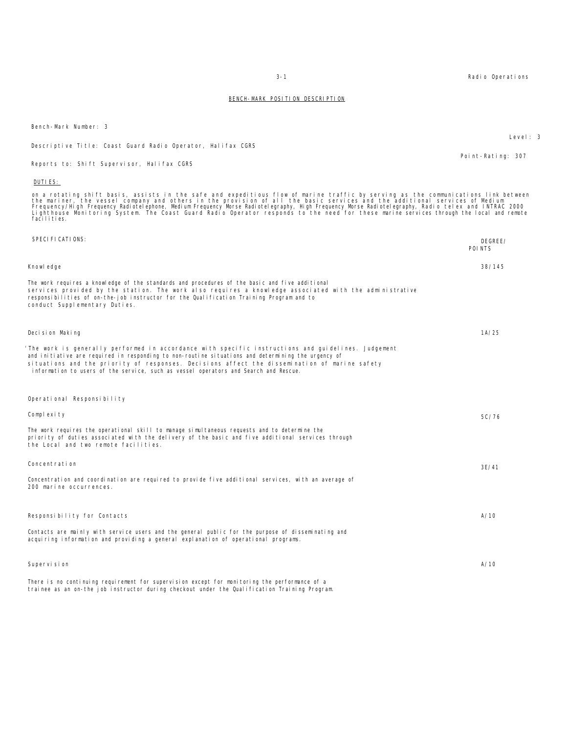| DUTIES:                                                                                                                                                                                                                                                                                                                                                                                                                                                                                                                                                                             |                    |
|-------------------------------------------------------------------------------------------------------------------------------------------------------------------------------------------------------------------------------------------------------------------------------------------------------------------------------------------------------------------------------------------------------------------------------------------------------------------------------------------------------------------------------------------------------------------------------------|--------------------|
| on a rotating shift basis, assists in the safe and expeditious flow of marine traffic by serving as the communications link between<br>the mariner, the vessel company and others in the provision of all the basic services and the additional services of Medium<br>Frequency/High Frequency Radiotelephone, Medium Frequency Morse Radiotelegraphy, High Frequency Morse Radiotelegraphy, Radio telex and INTRAC 2000<br>Lighthouse Monitoring System. The Coast Guard Radio Operator responds to the need for these marine services through the local and remote<br>facilities. |                    |
| SPECI FI CATI ONS:                                                                                                                                                                                                                                                                                                                                                                                                                                                                                                                                                                  | DEGREE/<br>POI NTS |
| Knowl edge                                                                                                                                                                                                                                                                                                                                                                                                                                                                                                                                                                          | 38/145             |
| The work requires a knowledge of the standards and procedures of the basic and five additional<br>services provided by the station. The work also requires a knowledge associated with the administrative<br>responsibilities of on-the-job instructor for the Qualification Training Program and to<br>conduct Supplementary Duties.                                                                                                                                                                                                                                               |                    |
| Decision Making                                                                                                                                                                                                                                                                                                                                                                                                                                                                                                                                                                     | 1A/25              |
| 'The work is generally performed in accordance with specific instructions and quidelines. Judgement<br>and initiative are required in responding to non-routine situations and determining the urgency of<br>situations and the priority of responses. Decisions affect the dissemination of marine safety<br>information to users of the service, such as vessel operators and Search and Rescue.                                                                                                                                                                                  |                    |
| Operational Responsibility                                                                                                                                                                                                                                                                                                                                                                                                                                                                                                                                                          |                    |
| Complexity                                                                                                                                                                                                                                                                                                                                                                                                                                                                                                                                                                          | 5C/76              |
| The work requires the operational skill to manage simultaneous requests and to determine the<br>priority of duties associated with the delivery of the basic and five additional services through<br>the Local and two remote facilities.                                                                                                                                                                                                                                                                                                                                           |                    |
| Concentration                                                                                                                                                                                                                                                                                                                                                                                                                                                                                                                                                                       | 3E/41              |
| Concentration and coordination are required to provide five additional services, with an average of<br>200 marine occurrences.                                                                                                                                                                                                                                                                                                                                                                                                                                                      |                    |
| Responsibility for Contacts                                                                                                                                                                                                                                                                                                                                                                                                                                                                                                                                                         | A/10               |
| Contacts are mainly with service users and the general public for the purpose of disseminating and<br>acquiring information and providing a general explanation of operational programs.                                                                                                                                                                                                                                                                                                                                                                                            |                    |
| Supervision                                                                                                                                                                                                                                                                                                                                                                                                                                                                                                                                                                         | A/10               |
| There is no continuing requirement for supervision except for monitoring the performance of a                                                                                                                                                                                                                                                                                                                                                                                                                                                                                       |                    |

trainee as an on-the job instructor during checkout under the Qualification Training Program.

Bench-Mark Number: 3

Descriptive Title: Coast Guard Radio Operator, Halifax CGRS

Reports to: Shift Supervisor, Halifax CGRS

3-1 Radio Operations

Point-Rating: 307

Level: 3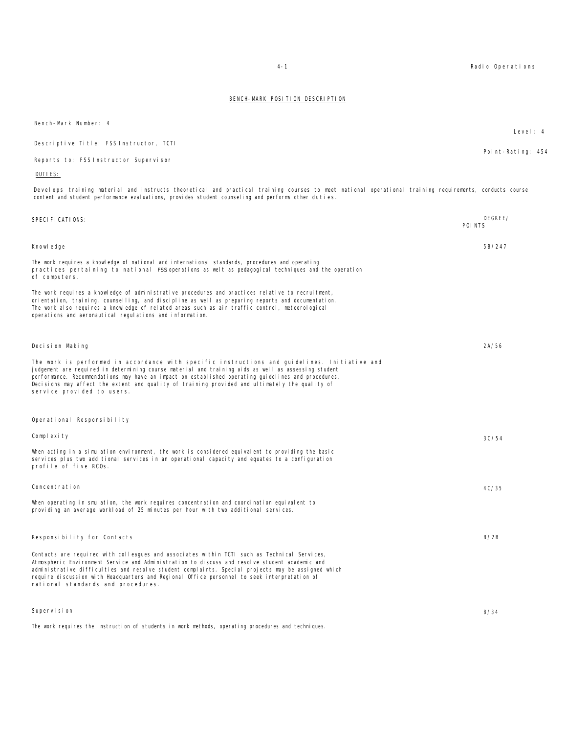| Bench-Mark Number: 4                                                                                                                                                                                                                                                                                                                                                                                                                         | Level: 4          |
|----------------------------------------------------------------------------------------------------------------------------------------------------------------------------------------------------------------------------------------------------------------------------------------------------------------------------------------------------------------------------------------------------------------------------------------------|-------------------|
| Descriptive Title: FSS Instructor, TCTI                                                                                                                                                                                                                                                                                                                                                                                                      |                   |
| Reports to: FSS Instructor Supervisor                                                                                                                                                                                                                                                                                                                                                                                                        | Point-Rating: 454 |
| DUTI ES:                                                                                                                                                                                                                                                                                                                                                                                                                                     |                   |
| Develops training material and instructs theoretical and practical training courses to meet national operational training requirements, conducts course<br>content and student performance evaluations, provides student counseling and performs other duties.                                                                                                                                                                               |                   |
| SPECI FI CATI ONS:<br>POI NTS                                                                                                                                                                                                                                                                                                                                                                                                                | DEGREE/           |
| Knowl edge                                                                                                                                                                                                                                                                                                                                                                                                                                   | 5B/247            |
| The work requires a knowledge of national and international standards, procedures and operating<br>practices pertaining to national FSS operations as welt as pedagogical techniques and the operation<br>of computers.                                                                                                                                                                                                                      |                   |
| The work requires a knowledge of administrative procedures and practices relative to recruitment,<br>orientation, training, counselling, and discipline as well as preparing reports and documentation.<br>The work also requires a knowledge of related areas such as air traffic control, meteorological<br>operations and aeronautical regulations and information.                                                                       |                   |
| Decision Making                                                                                                                                                                                                                                                                                                                                                                                                                              | 2A/56             |
| The work is performed in accordance with specific instructions and guidelines. Initiative and<br>judgement are required in determining course material and training aids as well as assessing student<br>performance. Recommendations may have an impact on established operating guidelines and procedures.<br>Decisions may affect the extent and quality of training provided and ultimately the quality of<br>service provided to users. |                   |
| Operational Responsibility                                                                                                                                                                                                                                                                                                                                                                                                                   |                   |
| Complexity                                                                                                                                                                                                                                                                                                                                                                                                                                   | 3C/54             |
| When acting in a simulation environment, the work is considered equivalent to providing the basic<br>services plus two additional services in an operational capacity and equates to a configuration<br>profile of five RCOs.                                                                                                                                                                                                                |                   |
| Concentration                                                                                                                                                                                                                                                                                                                                                                                                                                | 4C/35             |
| When operating in smulation, the work requires concentration and coordination equivalent to<br>providing an average workload of 25 minutes per hour with two additional services.                                                                                                                                                                                                                                                            |                   |
| Responsibility for Contacts                                                                                                                                                                                                                                                                                                                                                                                                                  | B/2B              |

Contacts are required with colleagues and associates within TCTI such as Technical Services, Atmospheric Environment Service and Administration to discuss and resolve student academic and administrative difficulties and resolve student complaints. Special projects may be assigned which require discussion with Headquarters and Regional Office personnel to seek interpretation of national standards and procedures.

Supervision The work requires the instruction of students in work methods, operating procedures and techniques. 8/34

4-1 Radio Operations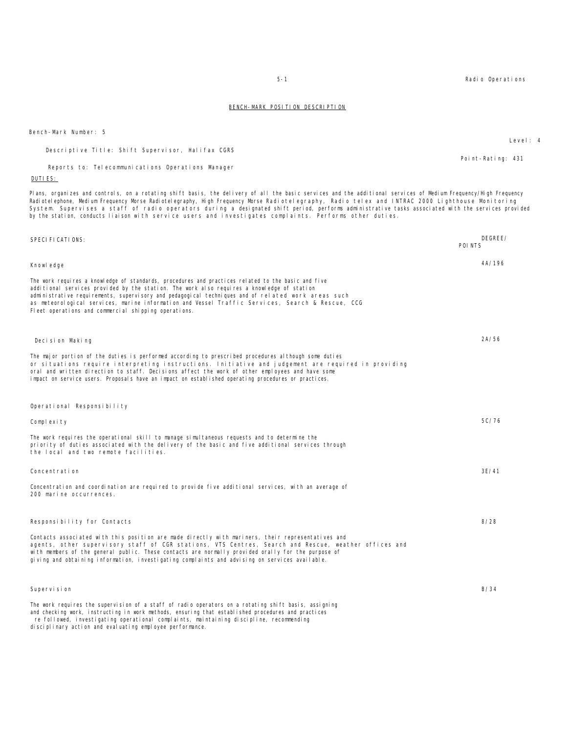Bench-Mark Number: 5

| Descriptive Title: Shift Supervisor, Halifax CGRS |                   |  |
|---------------------------------------------------|-------------------|--|
|                                                   | Point-Rating: 431 |  |

Reports to: Telecommunications Operations Manager

#### DUTIES:

Plans, organizes and controls, on a rotating shift basis, the delivery of all the basic services and the additional services of Medium Frequency/High Frequency<br>Radiotelephone, Medium Frequency Morse Radiotelegraphy, High F by the station, conducts liaison with service users and investigates complaints. Performs other duties.

| SPECIFICATIONS:                                                                                                                                                                                                                                                                                                                                                                                                                                                    | DEGREE/<br>POI NTS |  |
|--------------------------------------------------------------------------------------------------------------------------------------------------------------------------------------------------------------------------------------------------------------------------------------------------------------------------------------------------------------------------------------------------------------------------------------------------------------------|--------------------|--|
| Knowl edge                                                                                                                                                                                                                                                                                                                                                                                                                                                         | 4A/196             |  |
| The work requires a knowledge of standards, procedures and practices related to the basic and five<br>additional services provided by the station. The work also requires a knowledge of station<br>administrative requirements, supervisory and pedagogical techniques and of related work areas such<br>as meteorological services, marine information and Vessel Traffic Services, Search & Rescue, CCG<br>Fleet operations and commercial shipping operations. |                    |  |
| Decision Making                                                                                                                                                                                                                                                                                                                                                                                                                                                    | 2A/56              |  |
| The major portion of the duties is performed according to prescribed procedures although some duties<br>or situations require interpreting instructions. Initiative and judgement are required in providing<br>oral and written direction to staff. Decisions affect the work of other employees and have some<br>impact on service users. Proposals have an impact on established operating procedures or practices.                                              |                    |  |
| Operational Responsibility                                                                                                                                                                                                                                                                                                                                                                                                                                         |                    |  |
| Complexity                                                                                                                                                                                                                                                                                                                                                                                                                                                         | 5C/76              |  |
| The work requires the operational skill to manage simultaneous requests and to determine the<br>priority of duties associated with the delivery of the basic and five additional services through<br>the local and two remote facilities.                                                                                                                                                                                                                          |                    |  |
| Concentration                                                                                                                                                                                                                                                                                                                                                                                                                                                      | 3E/41              |  |
| Concentration and coordination are required to provide five additional services, with an average of<br>200 marine occurrences.                                                                                                                                                                                                                                                                                                                                     |                    |  |
| Responsibility for Contacts                                                                                                                                                                                                                                                                                                                                                                                                                                        | 8/28               |  |
| Contacts associated with this position are made directly with mariners, their representatives and<br>agents, other supervisory staff of CGR stations, VTS Centres, Search and Rescue, weather offices and<br>with members of the general public. These contacts are normally provided orally for the purpose of<br>giving and obtaining information, investigating complaints and advising on services available.                                                  |                    |  |
| Supervision                                                                                                                                                                                                                                                                                                                                                                                                                                                        | B/34               |  |
| The work requires the supervision of a staff of radio operators on a rotating shift basis, assigning<br>and checking work, instructing in work methods, ensuring that established procedures and practices<br>re followed, investigating operational complaints, maintaining discipline, recommending<br>di sci pl i nary acti on and eval uati ng empl oyee performance.                                                                                          |                    |  |

Level: 4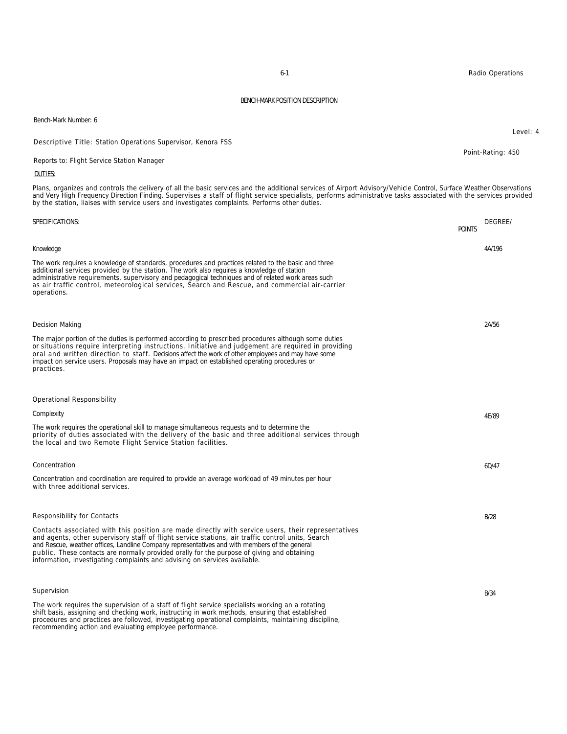### DUTIES: Plans, organizes and controls the delivery of all the basic services and the additional services of Airport Advisory/Vehicle Control, Surface Weather Observations and Very High Frequency Direction Finding. Supervises a staff of flight service specialists, performs administrative tasks associated with the services provided by the station, liaises with service users and investigates complaints. Performs other duties. SPECIFICATIONS: DEGREE/ POINTS Knowledge The work requires a knowledge of standards, procedures and practices related to the basic and three additional services provided by the station. The work also requires a knowledge of station administrative requirements, supervisory and pedagogical techniques and of related work areas such as air traffic control, meteorological services, Search and Rescue, and commercial air-carrier operations. 4A/196 Decision Making The major portion of the duties is performed according to prescribed procedures although some duties or situations require interpreting instructions. Initiative and judgement are required in providing oral and written direction to staff. Decisions affect the work of other employees and may have some impact on service users. Proposals may have an impact on established operating procedures or practices. 2A/56 Operational Responsibility **Complexity** The work requires the operational skill to manage simultaneous requests and to determine the priority of duties associated with the delivery of the basic and three additional services through the local and two Remote Flight Service Station facilities. 4E/89 Concentration Concentration and coordination are required to provide an average workload of 49 minutes per hour with three additional services. 6D/47 Responsibility for Contacts Contacts associated with this position are made directly with service users, their representatives and agents, other supervisory staff of flight service stations, air traffic control units, Search and Rescue, weather offices, Landline Company representatives and with members of the general public. These contacts are normally provided orally for the purpose of giving and obtaining information, investigating complaints and advising on services available. B/28 Supervision The work requires the supervision of a staff of flight service specialists working an a rotating shift basis, assigning and checking work, instructing in work methods, ensuring that established B/34

procedures and practices are followed, investigating operational complaints, maintaining discipline, recommending action and evaluating employee performance.

Bench-Mark Number: 6

Descriptive Title: Station Operations Supervisor, Kenora FSS

Reports to: Flight Service Station Manager

6-1 Radio Operations

Point-Rating: 450

Level: 4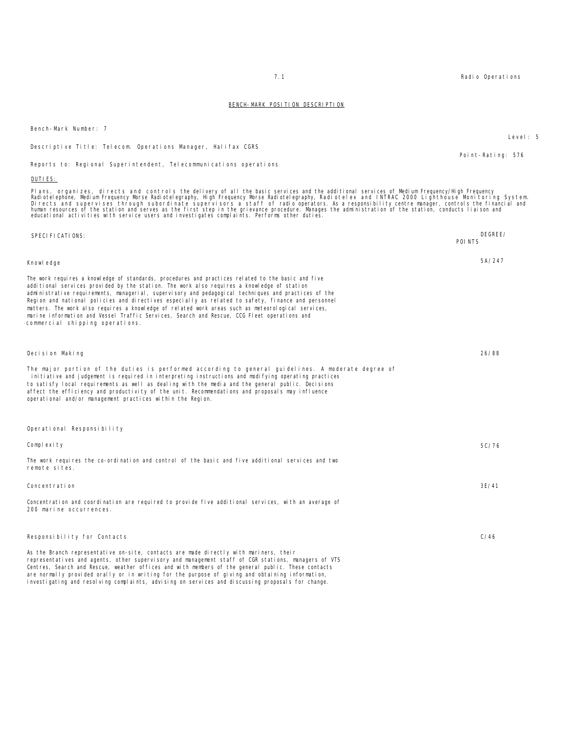|                                                                                                                                                                                                                                                                                                                                                                                                                                                                                                                                                                                                                                                                                                                         | Point-Rating: 576  |
|-------------------------------------------------------------------------------------------------------------------------------------------------------------------------------------------------------------------------------------------------------------------------------------------------------------------------------------------------------------------------------------------------------------------------------------------------------------------------------------------------------------------------------------------------------------------------------------------------------------------------------------------------------------------------------------------------------------------------|--------------------|
| Reports to: Regional Superintendent, Telecommunications operations                                                                                                                                                                                                                                                                                                                                                                                                                                                                                                                                                                                                                                                      |                    |
| DUTI ES:                                                                                                                                                                                                                                                                                                                                                                                                                                                                                                                                                                                                                                                                                                                |                    |
| Plans, organizes, directs and controls the delivery of all the basic services and the additional services of Medium Frequency/High Frequency<br>Radiotelephone, Medium Frequency Morse Radiotelegraphy, High Frequency Morse Radiotelegraphy, Radiotelex and INTRAC 2000 Lighthouse Monitoring System.<br>Directs and supervises through subordinate supervisors a staff of radio operators. As a responsibility centre manager, controls the financial and<br>human resources of the station and serves as the first step in the grievance procedure. Manages the administration of the station, conducts liaison and<br>educational activities with service users and investigates complaints. Performs other duties. |                    |
| SPECI FI CATI ONS:                                                                                                                                                                                                                                                                                                                                                                                                                                                                                                                                                                                                                                                                                                      | DEGREE/<br>POI NTS |
| Knowl edge                                                                                                                                                                                                                                                                                                                                                                                                                                                                                                                                                                                                                                                                                                              | 5A/247             |
| The work requires a knowledge of standards, procedures and practices related to the basic and five<br>additional services provided by the station. The work also requires a knowledge of station<br>administrative requirements, managerial, supervisory and pedagogical techniques and practices of the<br>Region and national policies and directives especially as related to safety, finance and personnel<br>matters. The work also requires a knowledge of related work areas such as meteorological services,<br>marine information and Vessel Traffic Services, Search and Rescue, CCG Fleet operations and<br>commercial shipping operations.                                                                  |                    |
| Decision Making                                                                                                                                                                                                                                                                                                                                                                                                                                                                                                                                                                                                                                                                                                         | 26/88              |
| The major portion of the duties is performed according to general guidelines. A moderate degree of<br>initiative and judgement is required in interpreting instructions and modifying operating practices<br>to satisfy local requirements as well as dealing with the media and the general public. Decisions<br>affect the efficiency and productivity of the unit. Recommendations and proposals may influence<br>operational and/or management practices within the Region.                                                                                                                                                                                                                                         |                    |
| Operational Responsibility                                                                                                                                                                                                                                                                                                                                                                                                                                                                                                                                                                                                                                                                                              |                    |
| Complexity                                                                                                                                                                                                                                                                                                                                                                                                                                                                                                                                                                                                                                                                                                              | 5C/76              |
| The work requires the co-ordination and control of the basic and five additional services and two<br>remote sites.                                                                                                                                                                                                                                                                                                                                                                                                                                                                                                                                                                                                      |                    |
| Concentration                                                                                                                                                                                                                                                                                                                                                                                                                                                                                                                                                                                                                                                                                                           | 3E/41              |
| Concentration and coordination are required to provide five additional services, with an average of<br>200 marine occurrences.                                                                                                                                                                                                                                                                                                                                                                                                                                                                                                                                                                                          |                    |
| Responsibility for Contacts                                                                                                                                                                                                                                                                                                                                                                                                                                                                                                                                                                                                                                                                                             | C/46               |
| As the Branch representative on-site, contacts are made directly with mariners, their<br>representatives and agents, other supervisory and management staff of CGR stations, managers of VTS<br>Centres, Search and Rescue, weather offices and with members of the general public. These contacts<br>are normally provided orally or in writing for the purpose of giving and obtaining information,<br>investigating and resolving complaints, advising on services and discussing proposals for change.                                                                                                                                                                                                              |                    |

Bench-Mark Number: 7

Descriptive Title: Telecom. Operations Manager, Halifax CGRS

7.1 Radio Operations

Level: 5

Point-Rating: 576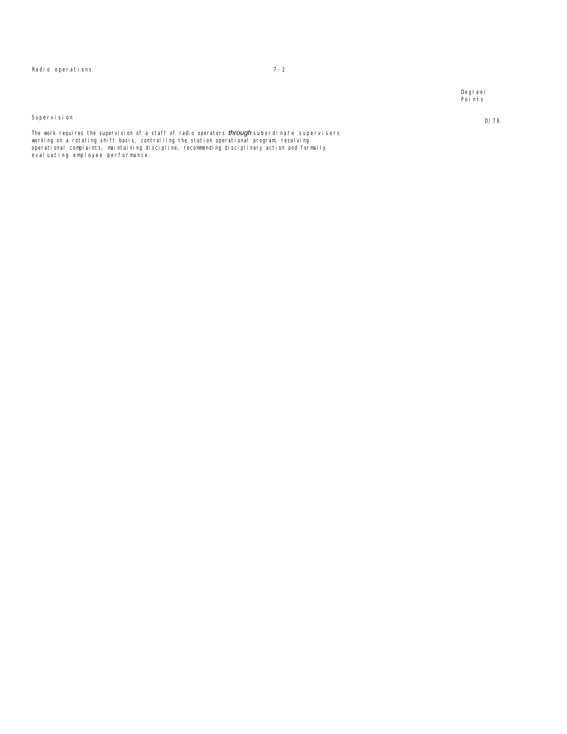Degree/ Points

D/78

#### Supervision

The work requires the supervision of a staff of radio operators *through* subordinate supervisors<br>working on a rotating shift basis, controlling the station operational program, resolving operational complaints, maintaining discipline, recommending disciplinary action and formally evaluating employee performance.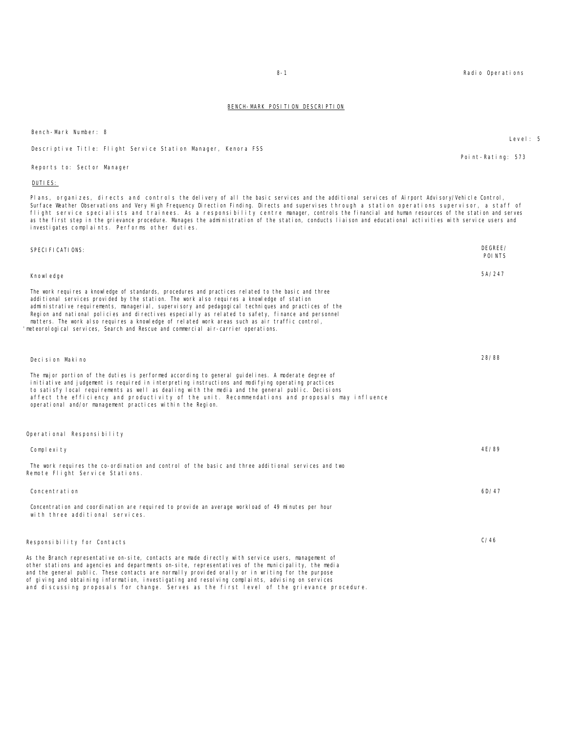Bench-Mark Number: 8

#### Descriptive Title: Flight Service Station Manager, Kenora FSS

Reports to: Sector Manager

#### DUTIES:

Plans, organizes, directs and controls the delivery of all the basic services and the additional services of Airport Advisory/Vehicle Control, Surface Weather Observations and Very High Frequency Direction Finding. Directs and supervises through a station operations supervisor, a staff of flight service specialists and trainees. As a responsibility centre manager, controls the financial and human resources of the station and serves as the first step in the grievance procedure. Manages the administration of the station, conducts liaison and educational activities with service users and investigates complaints. Performs other duties.

| SPECI FI CATI ONS:                                                                                                                                                                                                                                                                                                                                                                                                                                                                                                                                                                                     | DEGREE/<br>POI NTS |
|--------------------------------------------------------------------------------------------------------------------------------------------------------------------------------------------------------------------------------------------------------------------------------------------------------------------------------------------------------------------------------------------------------------------------------------------------------------------------------------------------------------------------------------------------------------------------------------------------------|--------------------|
| Knowl edge                                                                                                                                                                                                                                                                                                                                                                                                                                                                                                                                                                                             | 5A/247             |
| The work requires a knowledge of standards, procedures and practices related to the basic and three<br>additional services provided by the station. The work also requires a knowledge of station<br>administrative requirements, managerial, supervisory and pedagogical techniques and practices of the<br>Region and national policies and directives especially as related to safety, finance and personnel<br>matters. The work also requires a knowledge of related work areas such as air traffic control,<br>meteorological services, Search and Rescue and commercial air-carrier operations. |                    |
| Decision Makino                                                                                                                                                                                                                                                                                                                                                                                                                                                                                                                                                                                        | 28/88              |
| The major portion of the duties is performed according to general guidelines. A moderate degree of<br>initiative and judgement is required in interpreting instructions and modifying operating practices<br>to satisfy local requirements as well as dealing with the media and the general public. Decisions<br>affect the efficiency and productivity of the unit. Recommendations and proposals may influence<br>operational and/or management practices within the Region.                                                                                                                        |                    |
| Operational Responsibility                                                                                                                                                                                                                                                                                                                                                                                                                                                                                                                                                                             |                    |
| Complexity                                                                                                                                                                                                                                                                                                                                                                                                                                                                                                                                                                                             | 4E/89              |
| The work requires the co-ordination and control of the basic and three additional services and two<br>Remote Flight Service Stations.                                                                                                                                                                                                                                                                                                                                                                                                                                                                  |                    |
| Concentration                                                                                                                                                                                                                                                                                                                                                                                                                                                                                                                                                                                          | 6D/47              |
| Concentration and coordination are required to provide an average workload of 49 minutes per hour<br>with three additional services.                                                                                                                                                                                                                                                                                                                                                                                                                                                                   |                    |
| Responsibility for Contacts                                                                                                                                                                                                                                                                                                                                                                                                                                                                                                                                                                            | C/46               |
| As the Branch representative on-site, contacts are made directly with service users, management of<br>other stations and agencies and departments on-site, representatives of the municipality, the media<br>and the general public. These contacts are normally provided orally or in writing for the purpose<br>of giving and obtaining information, investigating and resolving complaints, advising on services<br>and discussing proposals for change. Serves as the first level of the grievance procedure.                                                                                      |                    |

8-1 Radio Operations

Point-Rating: 573

Level: 5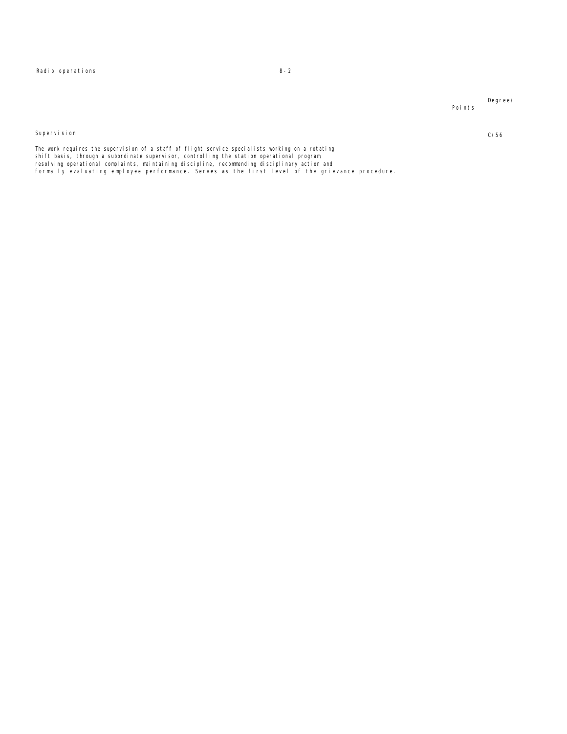Radio operations 8-2

Degree/ Points

Supervision

C/56

The work requires the supervision of a staff of flight service specialists working on a rotating<br>shift basis, through a subordinate supervisor, controlling the station operational program, resolving operational complaints, maintaining discipline, recommending disciplinary action and<br>formally evaluating employee performance. Serves as the first level of the grievance procedure.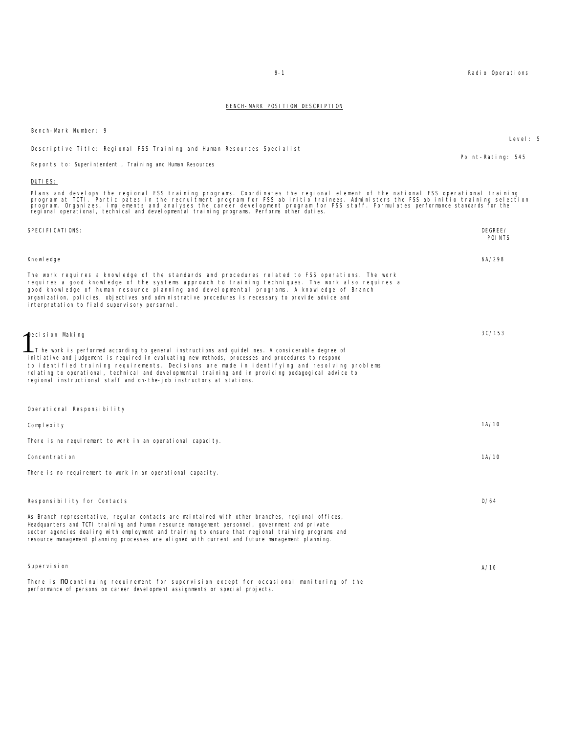| Bench-Mark Number: 9                                                                                                                                                                                                                                                                                                                                                                                                                                                                                           |                    |
|----------------------------------------------------------------------------------------------------------------------------------------------------------------------------------------------------------------------------------------------------------------------------------------------------------------------------------------------------------------------------------------------------------------------------------------------------------------------------------------------------------------|--------------------|
| Descriptive Title: Regional FSS Training and Human Resources Specialist                                                                                                                                                                                                                                                                                                                                                                                                                                        | Level: 5           |
|                                                                                                                                                                                                                                                                                                                                                                                                                                                                                                                | Point-Rating: 545  |
| Reports to: Superintendent., Training and Human Resources                                                                                                                                                                                                                                                                                                                                                                                                                                                      |                    |
| DUTI ES:                                                                                                                                                                                                                                                                                                                                                                                                                                                                                                       |                    |
| Plans and develops the regional FSS training programs. Coordinates the regional element of the national FSS operational training<br>program at TCTI. Participates in the recruitment program for FSS ab initio trainees. Administers the FSS ab initio training selection<br>program. Organizes, implements and analyses the career development program for FSS staff. Formulates performance standards for the<br>regional operational, technical and developmental training programs. Performs other duties. |                    |
| SPECI FI CATI ONS:                                                                                                                                                                                                                                                                                                                                                                                                                                                                                             | DEGREE/<br>POI NTS |
| Knowl edge                                                                                                                                                                                                                                                                                                                                                                                                                                                                                                     | 6A/298             |
| The work requires a knowledge of the standards and procedures related to FSS operations. The work<br>requires a good knowledge of the systems approach to training techniques. The work also requires a<br>good knowledge of human resource planning and developmental programs. A knowledge of Branch<br>organization, policies, objectives and administrative procedures is necessary to provide advice and<br>interpretation to field supervisory personnel.                                                |                    |
| Decision Making                                                                                                                                                                                                                                                                                                                                                                                                                                                                                                | 3C/153             |
| T he work is performed according to general instructions and guidelines. A considerable degree of<br>initiative and judgement is required in evaluating new methods, processes and procedures to respond<br>to identified training requirements. Decisions are made in identifying and resolving problems<br>relating to operational, technical and developmental training and in providing pedagogical advice to<br>regional instructional staff and on-the-job instructors at stations.                      |                    |
| Operational Responsibility                                                                                                                                                                                                                                                                                                                                                                                                                                                                                     |                    |
| Complexity                                                                                                                                                                                                                                                                                                                                                                                                                                                                                                     | 1A/10              |
| There is no requirement to work in an operational capacity.                                                                                                                                                                                                                                                                                                                                                                                                                                                    |                    |
| Concentration                                                                                                                                                                                                                                                                                                                                                                                                                                                                                                  | 1A/10              |
| There is no requirement to work in an operational capacity.                                                                                                                                                                                                                                                                                                                                                                                                                                                    |                    |
| Responsibility for Contacts                                                                                                                                                                                                                                                                                                                                                                                                                                                                                    | D/64               |
| As Branch representative, regular contacts are maintained with other branches, regional offices,<br>Headquarters and TCTI training and human resource management personnel, government and private<br>sector agencies dealing with employment and training to ensure that regional training programs and<br>resource management planning processes are aligned with current and future management planning.                                                                                                    |                    |
| Supervision                                                                                                                                                                                                                                                                                                                                                                                                                                                                                                    | A/10               |
| There is no continuing requirement for supervision except for occasional monitoring of the<br>performance of persons on career development assignments or special projects.                                                                                                                                                                                                                                                                                                                                    |                    |

9-1 Radio Operations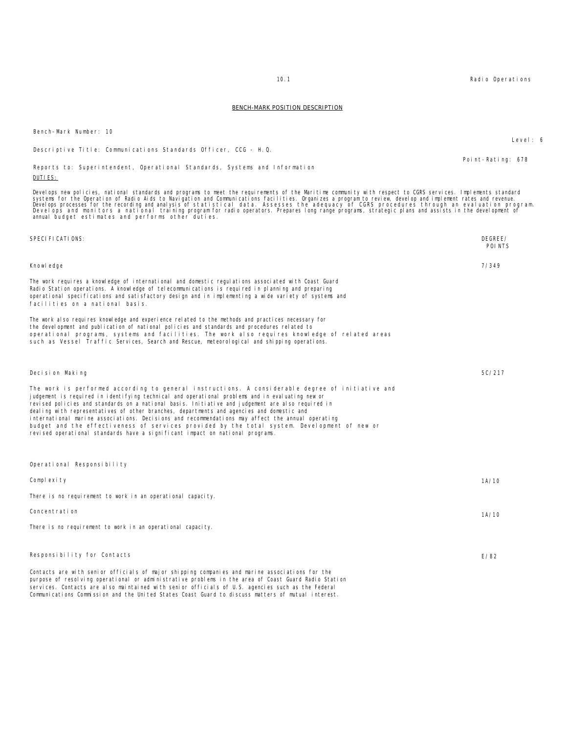10.1 Radio Operations

Point-Rating: 678

BENCH-MARK POSITION DESCRIPTION

### Develops new policies, national standards and programs to meet the requirements of the Maritime community with respect to CGRS services. Implements standard<br>Develops processes for the recording and analysis of statistical annual budget estimates and performs other duties. SPECIFICATIONS: DEGREE/ POINTS Knowledge The work requires a knowledge of international and domestic regulations associated with Coast Guard Radio Station operations. A knowledge of telecommunications is required in planning and preparing operational specifications and satisfactory design and in implementing a wide variety of systems and facilities on a national basis. The work also requires knowledge and experience related to the methods and practices necessary for the development and publication of national policies and standards and procedures related to operational programs, systems and facilities. The work also requires knowledge of related areas such as Vessel Traffic Services, Search and Rescue, meteorological and shipping operations. 7/349 Decision Making The work is performed according to general instructions. A considerable degree of initiative and judgement is required in identifying technical and operational problems and in evaluating new or revised policies and standards on a national basis. Initiative and judgement are also required in dealing with representatives of other branches, departments and agencies and domestic and international marine associations. Decisions and recommendations may affect the annual operating budget and the effectiveness of services provided by the total system. Development of new or<br>revised operational standards have a significant impact on national programs. 5C/217 Operational Responsibility Complexity There is no requirement to work in an operational capacity. 1A/10 Concentration There is no requirement to work in an operational capacity. 1A/10 Responsibility for Contacts Contacts are with senior officials of major shipping companies and marine associations for the E/82

purpose of resolving operational or administrative problems in the area of Coast Guard Radio Station services. Contacts are also maintained with senior officials of U.S. agencies such as the Federal Communications Commission and the United States Coast Guard to discuss matters of mutual interest.

Bench-Mark Number: 10

DUTIES:

Descriptive Title: Communications Standards Officer, CCG - H.Q.

Reports to: Superintendent, Operational Standards, Systems and Information

Level: 6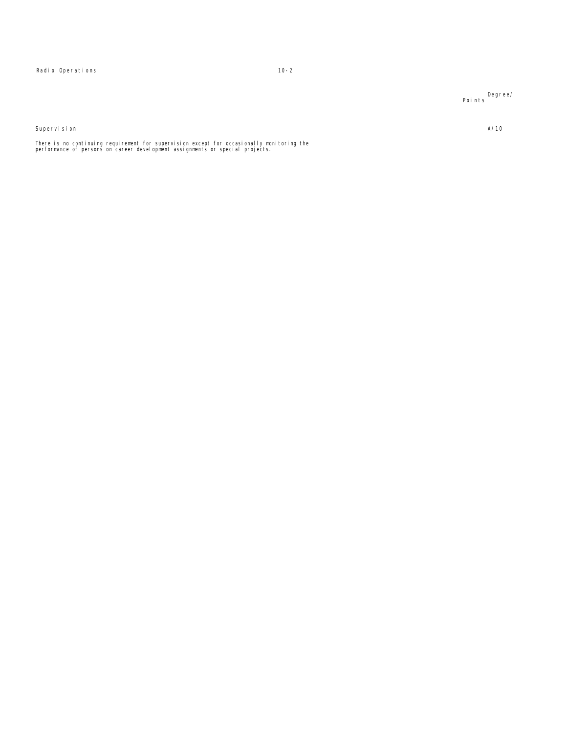Radio Operations 10-2

Degree/ Points

Supervision

There is no continuing requirement for supervision except for occasionally monitoring the<br>performance of persons on career development assignments or special projects.

A/10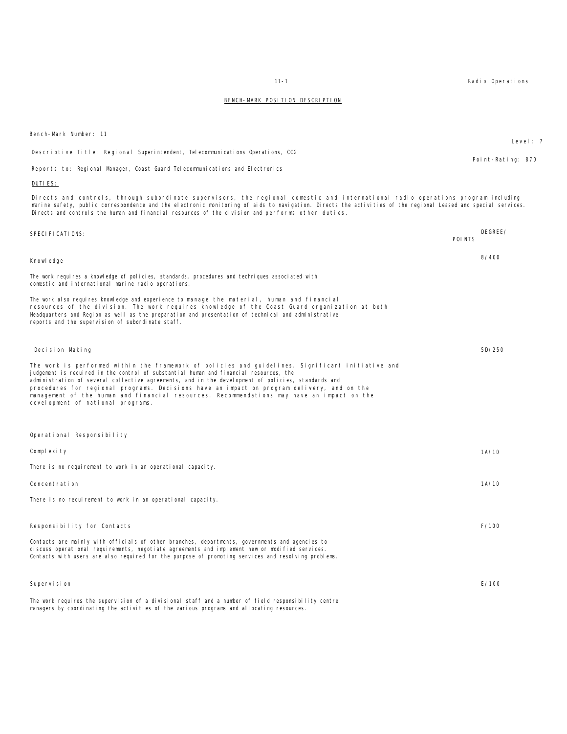Reports to: Regional Manager, Coast Guard Telecommunications and Electronics DUTIES: Directs and controls, through subordinate supervisors, the regional domestic and international radio operations program including marine safety, public correspondence and the electronic monitoring of aids to navigation. Directs the activities of the regional Leased and special services. Directs and controls the human and financial resources of the division and performs other duties. SPECIFICATIONS: DEGREE/ POINTS Knowledge The work requires a knowledge of policies, standards, procedures and techniques associated with domestic and international marine radio operations. The work also requires knowledge and experience to manage the material, human and financial resources of the division. The work requires knowledge of the Coast Guard organization at both Headquarters and Region as well as the preparation and presentation of technical and administrative reports and the supervision of subordinate staff. 8/400 Decision Making The work is performed within the framework of policies and guidelines. Significant initiative and judgement is required in the control of substantial human and financial resources, the administration of several collective agreements, and in the development of policies, standards and procedures for regional programs. Decisions have an impact on program delivery, and on the management of the human and financial resources. Recommendations may have an impact on the devel opment of national programs. 5D/250 Operational Responsibility Complexity There is no requirement to work in an operational capacity. 1A/10 Concentration There is no requirement to work in an operational capacity. 1A/10 Responsibility for Contacts Contacts are mainly with officials of other branches, departments, governments and agencies to discuss operational requirements, negotiate agreements and implement new or modified services. Contacts with users are also required for the purpose of promoting services and resolving problems. F/100 Supervision E/100

The work requires the supervision of a divisional staff and a number of field responsibility centre managers by coordinating the activities of the various programs and allocating resources.

Bench-Mark Number: 11

Descriptive Title: Regional Superintendent, Telecommunications Operations, CCG

11-1 Radio Operations

Point-Rating: 870

Level: 7